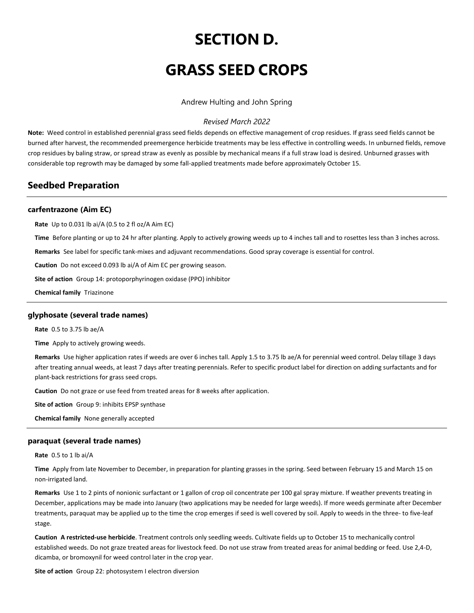# **SECTION D.**

# **GRASS SEED CROPS**

Andrew Hulting and John Spring

## *Revised March 2022*

**Note:** Weed control in established perennial grass seed fields depends on effective management of crop residues. If grass seed fields cannot be burned after harvest, the recommended preemergence herbicide treatments may be less effective in controlling weeds. In unburned fields, remove crop residues by baling straw, or spread straw as evenly as possible by mechanical means if a full straw load is desired. Unburned grasses with considerable top regrowth may be damaged by some fall-applied treatments made before approximately October 15.

# **Seedbed Preparation**

## **carfentrazone (Aim EC)**

**Rate** Up to 0.031 lb ai/A (0.5 to 2 fl oz/A Aim EC)

**Time** Before planting or up to 24 hr after planting. Apply to actively growing weeds up to 4 inches tall and to rosettes less than 3 inches across.

**Remarks** See label for specific tank-mixes and adjuvant recommendations. Good spray coverage is essential for control.

**Caution** Do not exceed 0.093 lb ai/A of Aim EC per growing season.

**Site of action** Group 14: protoporphyrinogen oxidase (PPO) inhibitor

**Chemical family** Triazinone

## **glyphosate (several trade names)**

**Rate** 0.5 to 3.75 lb ae/A

**Time** Apply to actively growing weeds.

**Remarks** Use higher application rates if weeds are over 6 inches tall. Apply 1.5 to 3.75 lb ae/A for perennial weed control. Delay tillage 3 days after treating annual weeds, at least 7 days after treating perennials. Refer to specific product label for direction on adding surfactants and for plant-back restrictions for grass seed crops.

**Caution** Do not graze or use feed from treated areas for 8 weeks after application.

**Site of action** Group 9: inhibits EPSP synthase

**Chemical family** None generally accepted

#### **paraquat (several trade names)**

**Rate** 0.5 to 1 lb ai/A

**Time** Apply from late November to December, in preparation for planting grasses in the spring. Seed between February 15 and March 15 on non-irrigated land.

**Remarks** Use 1 to 2 pints of nonionic surfactant or 1 gallon of crop oil concentrate per 100 gal spray mixture. If weather prevents treating in December, applications may be made into January (two applications may be needed for large weeds). If more weeds germinate after December treatments, paraquat may be applied up to the time the crop emerges if seed is well covered by soil. Apply to weeds in the three- to five-leaf stage.

**Caution A restricted-use herbicide**. Treatment controls only seedling weeds. Cultivate fields up to October 15 to mechanically control established weeds. Do not graze treated areas for livestock feed. Do not use straw from treated areas for animal bedding or feed. Use 2,4-D, dicamba, or bromoxynil for weed control later in the crop year.

**Site of action** Group 22: photosystem I electron diversion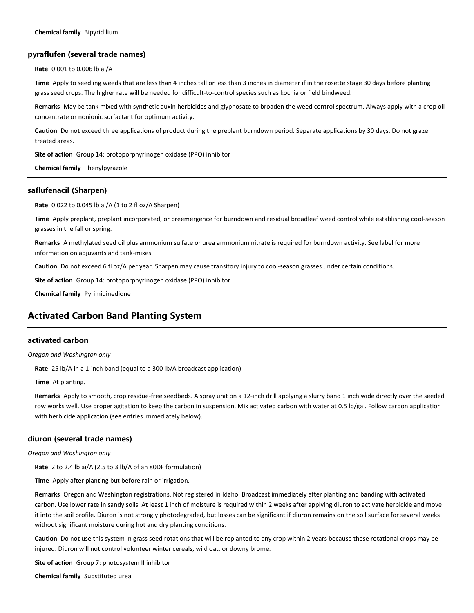#### **pyraflufen (several trade names)**

**Rate** 0.001 to 0.006 lb ai/A

**Time** Apply to seedling weeds that are less than 4 inches tall or less than 3 inches in diameter if in the rosette stage 30 days before planting grass seed crops. The higher rate will be needed for difficult-to-control species such as kochia or field bindweed.

**Remarks** May be tank mixed with synthetic auxin herbicides and glyphosate to broaden the weed control spectrum. Always apply with a crop oil concentrate or nonionic surfactant for optimum activity.

**Caution** Do not exceed three applications of product during the preplant burndown period. Separate applications by 30 days. Do not graze treated areas.

**Site of action** Group 14: protoporphyrinogen oxidase (PPO) inhibitor

**Chemical family** Phenylpyrazole

## **saflufenacil (Sharpen)**

**Rate** 0.022 to 0.045 lb ai/A (1 to 2 fl oz/A Sharpen)

**Time** Apply preplant, preplant incorporated, or preemergence for burndown and residual broadleaf weed control while establishing cool-season grasses in the fall or spring.

**Remarks** A methylated seed oil plus ammonium sulfate or urea ammonium nitrate is required for burndown activity. See label for more information on adjuvants and tank-mixes.

**Caution** Do not exceed 6 fl oz/A per year. Sharpen may cause transitory injury to cool-season grasses under certain conditions.

**Site of action** Group 14: protoporphyrinogen oxidase (PPO) inhibitor

**Chemical family P**yrimidinedione

# **Activated Carbon Band Planting System**

## **activated carbon**

*Oregon and Washington only*

**Rate** 25 lb/A in a 1-inch band (equal to a 300 lb/A broadcast application)

**Time** At planting.

**Remarks** Apply to smooth, crop residue-free seedbeds. A spray unit on a 12-inch drill applying a slurry band 1 inch wide directly over the seeded row works well. Use proper agitation to keep the carbon in suspension. Mix activated carbon with water at 0.5 lb/gal. Follow carbon application with herbicide application (see entries immediately below).

#### **diuron (several trade names)**

*Oregon and Washington only*

**Rate** 2 to 2.4 lb ai/A (2.5 to 3 lb/A of an 80DF formulation)

**Time** Apply after planting but before rain or irrigation.

**Remarks** Oregon and Washington registrations. Not registered in Idaho. Broadcast immediately after planting and banding with activated carbon. Use lower rate in sandy soils. At least 1 inch of moisture is required within 2 weeks after applying diuron to activate herbicide and move it into the soil profile. Diuron is not strongly photodegraded, but losses can be significant if diuron remains on the soil surface for several weeks without significant moisture during hot and dry planting conditions.

**Caution** Do not use this system in grass seed rotations that will be replanted to any crop within 2 years because these rotational crops may be injured. Diuron will not control volunteer winter cereals, wild oat, or downy brome.

**Site of action** Group 7: photosystem II inhibitor

**Chemical family** Substituted urea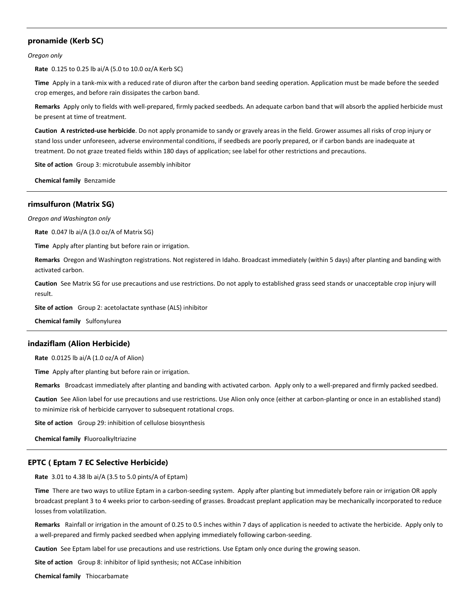## **pronamide (Kerb SC)**

*Oregon only*

**Rate** 0.125 to 0.25 lb ai/A (5.0 to 10.0 oz/A Kerb SC)

**Time** Apply in a tank-mix with a reduced rate of diuron after the carbon band seeding operation. Application must be made before the seeded crop emerges, and before rain dissipates the carbon band.

**Remarks** Apply only to fields with well-prepared, firmly packed seedbeds. An adequate carbon band that will absorb the applied herbicide must be present at time of treatment.

**Caution A restricted-use herbicide**. Do not apply pronamide to sandy or gravely areas in the field. Grower assumes all risks of crop injury or stand loss under unforeseen, adverse environmental conditions, if seedbeds are poorly prepared, or if carbon bands are inadequate at treatment. Do not graze treated fields within 180 days of application; see label for other restrictions and precautions.

**Site of action** Group 3: microtubule assembly inhibitor

**Chemical family** Benzamide

## **rimsulfuron (Matrix SG)**

*Oregon and Washington only*

**Rate** 0.047 lb ai/A (3.0 oz/A of Matrix SG)

**Time** Apply after planting but before rain or irrigation.

**Remarks** Oregon and Washington registrations. Not registered in Idaho. Broadcast immediately (within 5 days) after planting and banding with activated carbon.

**Caution** See Matrix SG for use precautions and use restrictions. Do not apply to established grass seed stands or unacceptable crop injury will result.

**Site of action** Group 2: acetolactate synthase (ALS) inhibitor

**Chemical family** Sulfonylurea

#### **indaziflam (Alion Herbicide)**

**Rate** 0.0125 lb ai/A (1.0 oz/A of Alion)

**Time** Apply after planting but before rain or irrigation.

**Remarks** Broadcast immediately after planting and banding with activated carbon. Apply only to a well-prepared and firmly packed seedbed.

**Caution** See Alion label for use precautions and use restrictions. Use Alion only once (either at carbon-planting or once in an established stand) to minimize risk of herbicide carryover to subsequent rotational crops.

**Site of action** Group 29: inhibition of cellulose biosynthesis

**Chemical family F**luoroalkyltriazine

#### **EPTC ( Eptam 7 EC Selective Herbicide)**

**Rate** 3.01 to 4.38 lb ai/A (3.5 to 5.0 pints/A of Eptam)

**Time** There are two ways to utilize Eptam in a carbon-seeding system. Apply after planting but immediately before rain or irrigation OR apply broadcast preplant 3 to 4 weeks prior to carbon-seeding of grasses. Broadcast preplant application may be mechanically incorporated to reduce losses from volatilization.

**Remarks** Rainfall or irrigation in the amount of 0.25 to 0.5 inches within 7 days of application is needed to activate the herbicide. Apply only to a well-prepared and firmly packed seedbed when applying immediately following carbon-seeding.

**Caution** See Eptam label for use precautions and use restrictions. Use Eptam only once during the growing season.

**Site of action** Group 8: inhibitor of lipid synthesis; not ACCase inhibition

**Chemical family** Thiocarbamate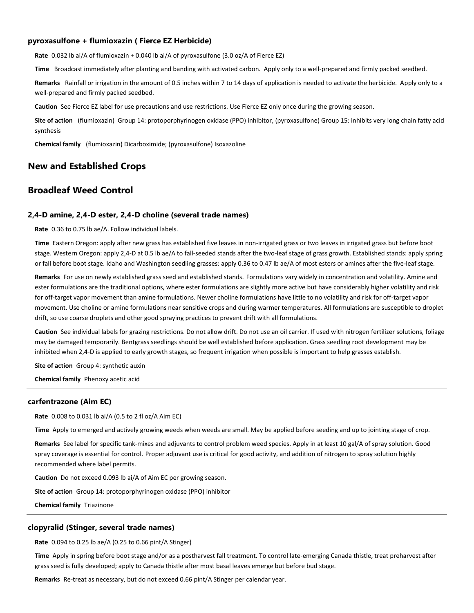## **pyroxasulfone + flumioxazin ( Fierce EZ Herbicide)**

**Rate** 0.032 lb ai/A of flumioxazin + 0.040 lb ai/A of pyroxasulfone (3.0 oz/A of Fierce EZ)

**Time** Broadcast immediately after planting and banding with activated carbon. Apply only to a well-prepared and firmly packed seedbed.

**Remarks** Rainfall or irrigation in the amount of 0.5 inches within 7 to 14 days of application is needed to activate the herbicide. Apply only to a well-prepared and firmly packed seedbed.

**Caution** See Fierce EZ label for use precautions and use restrictions. Use Fierce EZ only once during the growing season.

**Site of action** (flumioxazin) Group 14: protoporphyrinogen oxidase (PPO) inhibitor, (pyroxasulfone) Group 15: inhibits very long chain fatty acid synthesis

**Chemical family** (flumioxazin) Dicarboximide; (pyroxasulfone) Isoxazoline

# **New and Established Crops**

## **Broadleaf Weed Control**

## **2,4-D amine, 2,4-D ester, 2,4-D choline (several trade names)**

**Rate** 0.36 to 0.75 lb ae/A. Follow individual labels.

**Time** Eastern Oregon: apply after new grass has established five leaves in non-irrigated grass or two leaves in irrigated grass but before boot stage. Western Oregon: apply 2,4-D at 0.5 lb ae/A to fall-seeded stands after the two-leaf stage of grass growth. Established stands: apply spring or fall before boot stage. Idaho and Washington seedling grasses: apply 0.36 to 0.47 lb ae/A of most esters or amines after the five-leaf stage.

**Remarks** For use on newly established grass seed and established stands. Formulations vary widely in concentration and volatility. Amine and ester formulations are the traditional options, where ester formulations are slightly more active but have considerably higher volatility and risk for off-target vapor movement than amine formulations. Newer choline formulations have little to no volatility and risk for off-target vapor movement. Use choline or amine formulations near sensitive crops and during warmer temperatures. All formulations are susceptible to droplet drift, so use coarse droplets and other good spraying practices to prevent drift with all formulations.

**Caution** See individual labels for grazing restrictions. Do not allow drift. Do not use an oil carrier. If used with nitrogen fertilizer solutions, foliage may be damaged temporarily. Bentgrass seedlings should be well established before application. Grass seedling root development may be inhibited when 2,4-D is applied to early growth stages, so frequent irrigation when possible is important to help grasses establish.

**Site of action** Group 4: synthetic auxin

**Chemical family** Phenoxy acetic acid

## **carfentrazone (Aim EC)**

**Rate** 0.008 to 0.031 lb ai/A (0.5 to 2 fl oz/A Aim EC)

**Time** Apply to emerged and actively growing weeds when weeds are small. May be applied before seeding and up to jointing stage of crop.

**Remarks** See label for specific tank-mixes and adjuvants to control problem weed species. Apply in at least 10 gal/A of spray solution. Good spray coverage is essential for control. Proper adjuvant use is critical for good activity, and addition of nitrogen to spray solution highly recommended where label permits.

**Caution** Do not exceed 0.093 lb ai/A of Aim EC per growing season.

**Site of action** Group 14: protoporphyrinogen oxidase (PPO) inhibitor

**Chemical family** Triazinone

## **clopyralid (Stinger, several trade names)**

**Rate** 0.094 to 0.25 lb ae/A (0.25 to 0.66 pint/A Stinger)

**Time** Apply in spring before boot stage and/or as a postharvest fall treatment. To control late-emerging Canada thistle, treat preharvest after grass seed is fully developed; apply to Canada thistle after most basal leaves emerge but before bud stage.

**Remarks** Re-treat as necessary, but do not exceed 0.66 pint/A Stinger per calendar year.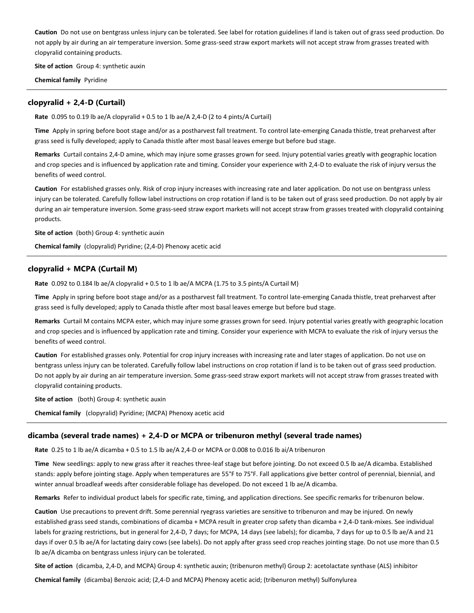**Caution** Do not use on bentgrass unless injury can be tolerated. See label for rotation guidelines if land is taken out of grass seed production. Do not apply by air during an air temperature inversion. Some grass-seed straw export markets will not accept straw from grasses treated with clopyralid containing products.

**Site of action** Group 4: synthetic auxin

**Chemical family** Pyridine

## **clopyralid + 2,4-D (Curtail)**

**Rate** 0.095 to 0.19 lb ae/A clopyralid + 0.5 to 1 lb ae/A 2,4-D (2 to 4 pints/A Curtail)

**Time** Apply in spring before boot stage and/or as a postharvest fall treatment. To control late-emerging Canada thistle, treat preharvest after grass seed is fully developed; apply to Canada thistle after most basal leaves emerge but before bud stage.

**Remarks** Curtail contains 2,4-D amine, which may injure some grasses grown for seed. Injury potential varies greatly with geographic location and crop species and is influenced by application rate and timing. Consider your experience with 2,4-D to evaluate the risk of injury versus the benefits of weed control.

Caution For established grasses only. Risk of crop injury increases with increasing rate and later application. Do not use on bentgrass unless injury can be tolerated. Carefully follow label instructions on crop rotation if land is to be taken out of grass seed production. Do not apply by air during an air temperature inversion. Some grass-seed straw export markets will not accept straw from grasses treated with clopyralid containing products.

**Site of action** (both) Group 4: synthetic auxin

**Chemical family** (clopyralid) Pyridine; (2,4-D) Phenoxy acetic acid

## **clopyralid + MCPA (Curtail M)**

**Rate** 0.092 to 0.184 lb ae/A clopyralid + 0.5 to 1 lb ae/A MCPA (1.75 to 3.5 pints/A Curtail M)

**Time** Apply in spring before boot stage and/or as a postharvest fall treatment. To control late-emerging Canada thistle, treat preharvest after grass seed is fully developed; apply to Canada thistle after most basal leaves emerge but before bud stage.

**Remarks** Curtail M contains MCPA ester, which may injure some grasses grown for seed. Injury potential varies greatly with geographic location and crop species and is influenced by application rate and timing. Consider your experience with MCPA to evaluate the risk of injury versus the benefits of weed control.

**Caution** For established grasses only. Potential for crop injury increases with increasing rate and later stages of application. Do not use on bentgrass unless injury can be tolerated. Carefully follow label instructions on crop rotation if land is to be taken out of grass seed production. Do not apply by air during an air temperature inversion. Some grass-seed straw export markets will not accept straw from grasses treated with clopyralid containing products.

**Site of action** (both) Group 4: synthetic auxin

**Chemical family** (clopyralid) Pyridine; (MCPA) Phenoxy acetic acid

#### **dicamba (several trade names) + 2,4-D or MCPA or tribenuron methyl (several trade names)**

**Rate** 0.25 to 1 lb ae/A dicamba + 0.5 to 1.5 lb ae/A 2,4-D or MCPA or 0.008 to 0.016 lb ai/A tribenuron

**Time** New seedlings: apply to new grass after it reaches three-leaf stage but before jointing. Do not exceed 0.5 lb ae/A dicamba. Established stands: apply before jointing stage. Apply when temperatures are 55°F to 75°F. Fall applications give better control of perennial, biennial, and winter annual broadleaf weeds after considerable foliage has developed. Do not exceed 1 lb ae/A dicamba.

**Remarks** Refer to individual product labels for specific rate, timing, and application directions. See specific remarks for tribenuron below.

**Caution** Use precautions to prevent drift. Some perennial ryegrass varieties are sensitive to tribenuron and may be injured. On newly established grass seed stands, combinations of dicamba + MCPA result in greater crop safety than dicamba + 2,4-D tank-mixes. See individual labels for grazing restrictions, but in general for 2,4-D, 7 days; for MCPA, 14 days (see labels); for dicamba, 7 days for up to 0.5 lb ae/A and 21 days if over 0.5 lb ae/A for lactating dairy cows (see labels). Do not apply after grass seed crop reaches jointing stage. Do not use more than 0.5 lb ae/A dicamba on bentgrass unless injury can be tolerated.

**Site of action** (dicamba, 2,4-D, and MCPA) Group 4: synthetic auxin; (tribenuron methyl) Group 2: acetolactate synthase (ALS) inhibitor

**Chemical family** (dicamba) Benzoic acid; (2,4-D and MCPA) Phenoxy acetic acid; (tribenuron methyl) Sulfonylurea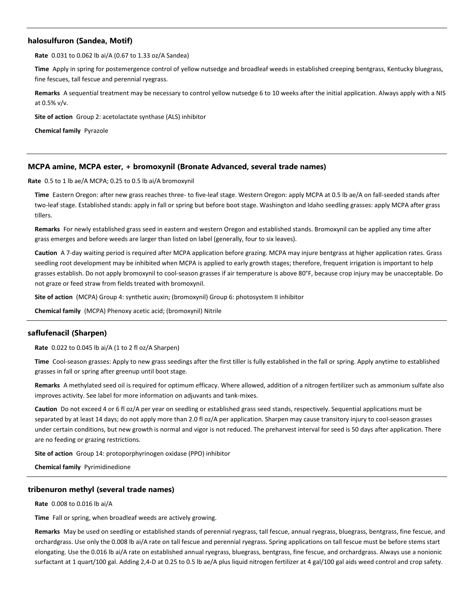## **halosulfuron (Sandea, Motif)**

**Rate** 0.031 to 0.062 lb ai/A (0.67 to 1.33 oz/A Sandea)

**Time** Apply in spring for postemergence control of yellow nutsedge and broadleaf weeds in established creeping bentgrass, Kentucky bluegrass, fine fescues, tall fescue and perennial ryegrass.

**Remarks** A sequential treatment may be necessary to control yellow nutsedge 6 to 10 weeks after the initial application. Always apply with a NIS at 0.5% v/v.

**Site of action** Group 2: acetolactate synthase (ALS) inhibitor

**Chemical family** Pyrazole

## **MCPA amine, MCPA ester, + bromoxynil (Bronate Advanced, several trade names)**

**Rate** 0.5 to 1 lb ae/A MCPA; 0.25 to 0.5 lb ai/A bromoxynil

**Time** Eastern Oregon: after new grass reaches three- to five-leaf stage. Western Oregon: apply MCPA at 0.5 lb ae/A on fall-seeded stands after two-leaf stage. Established stands: apply in fall or spring but before boot stage. Washington and Idaho seedling grasses: apply MCPA after grass tillers.

**Remarks** For newly established grass seed in eastern and western Oregon and established stands. Bromoxynil can be applied any time after grass emerges and before weeds are larger than listed on label (generally, four to six leaves).

**Caution** A 7-day waiting period is required after MCPA application before grazing. MCPA may injure bentgrass at higher application rates. Grass seedling root development may be inhibited when MCPA is applied to early growth stages; therefore, frequent irrigation is important to help grasses establish. Do not apply bromoxynil to cool-season grasses if air temperature is above 80°F, because crop injury may be unacceptable. Do not graze or feed straw from fields treated with bromoxynil.

**Site of action** (MCPA) Group 4: synthetic auxin; (bromoxynil) Group 6: photosystem II inhibitor

**Chemical family** (MCPA) Phenoxy acetic acid; (bromoxynil) Nitrile

## **saflufenacil (Sharpen)**

**Rate** 0.022 to 0.045 lb ai/A (1 to 2 fl oz/A Sharpen)

**Time** Cool-season grasses: Apply to new grass seedings after the first tiller is fully established in the fall or spring. Apply anytime to established grasses in fall or spring after greenup until boot stage.

**Remarks** A methylated seed oil is required for optimum efficacy. Where allowed, addition of a nitrogen fertilizer such as ammonium sulfate also improves activity. See label for more information on adjuvants and tank-mixes.

**Caution** Do not exceed 4 or 6 fl oz/A per year on seedling or established grass seed stands, respectively. Sequential applications must be separated by at least 14 days; do not apply more than 2.0 fl oz/A per application. Sharpen may cause transitory injury to cool-season grasses under certain conditions, but new growth is normal and vigor is not reduced. The preharvest interval for seed is 50 days after application. There are no feeding or grazing restrictions.

**Site of action** Group 14: protoporphyrinogen oxidase (PPO) inhibitor

**Chemical family** Pyrimidinedione

## **tribenuron methyl (several trade names)**

**Rate** 0.008 to 0.016 lb ai/A

**Time** Fall or spring, when broadleaf weeds are actively growing.

**Remarks** May be used on seedling or established stands of perennial ryegrass, tall fescue, annual ryegrass, bluegrass, bentgrass, fine fescue, and orchardgrass. Use only the 0.008 lb ai/A rate on tall fescue and perennial ryegrass. Spring applications on tall fescue must be before stems start elongating. Use the 0.016 lb ai/A rate on established annual ryegrass, bluegrass, bentgrass, fine fescue, and orchardgrass. Always use a nonionic surfactant at 1 quart/100 gal. Adding 2,4-D at 0.25 to 0.5 lb ae/A plus liquid nitrogen fertilizer at 4 gal/100 gal aids weed control and crop safety.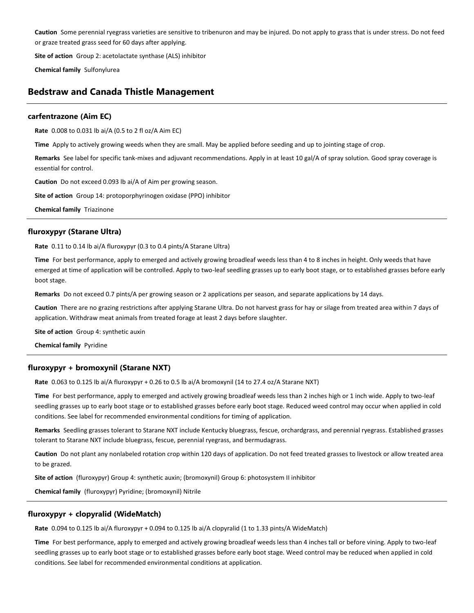**Caution** Some perennial ryegrass varieties are sensitive to tribenuron and may be injured. Do not apply to grass that is under stress. Do not feed or graze treated grass seed for 60 days after applying.

**Site of action** Group 2: acetolactate synthase (ALS) inhibitor

**Chemical family** Sulfonylurea

# **Bedstraw and Canada Thistle Management**

## **carfentrazone (Aim EC)**

**Rate** 0.008 to 0.031 lb ai/A (0.5 to 2 fl oz/A Aim EC)

**Time** Apply to actively growing weeds when they are small. May be applied before seeding and up to jointing stage of crop.

**Remarks** See label for specific tank-mixes and adjuvant recommendations. Apply in at least 10 gal/A of spray solution. Good spray coverage is essential for control.

**Caution** Do not exceed 0.093 lb ai/A of Aim per growing season.

**Site of action** Group 14: protoporphyrinogen oxidase (PPO) inhibitor

**Chemical family** Triazinone

## **fluroxypyr (Starane Ultra)**

**Rate** 0.11 to 0.14 lb ai/A fluroxypyr (0.3 to 0.4 pints/A Starane Ultra)

**Time** For best performance, apply to emerged and actively growing broadleaf weeds less than 4 to 8 inches in height. Only weeds that have emerged at time of application will be controlled. Apply to two-leaf seedling grasses up to early boot stage, or to established grasses before early boot stage.

**Remarks** Do not exceed 0.7 pints/A per growing season or 2 applications per season, and separate applications by 14 days.

**Caution** There are no grazing restrictions after applying Starane Ultra. Do not harvest grass for hay or silage from treated area within 7 days of application. Withdraw meat animals from treated forage at least 2 days before slaughter.

**Site of action** Group 4: synthetic auxin

**Chemical family** Pyridine

## **fluroxypyr + bromoxynil (Starane NXT)**

**Rate** 0.063 to 0.125 lb ai/A fluroxypyr + 0.26 to 0.5 lb ai/A bromoxynil (14 to 27.4 oz/A Starane NXT)

Time For best performance, apply to emerged and actively growing broadleaf weeds less than 2 inches high or 1 inch wide. Apply to two-leaf seedling grasses up to early boot stage or to established grasses before early boot stage. Reduced weed control may occur when applied in cold conditions. See label for recommended environmental conditions for timing of application.

**Remarks** Seedling grasses tolerant to Starane NXT include Kentucky bluegrass, fescue, orchardgrass, and perennial ryegrass. Established grasses tolerant to Starane NXT include bluegrass, fescue, perennial ryegrass, and bermudagrass.

**Caution** Do not plant any nonlabeled rotation crop within 120 days of application. Do not feed treated grasses to livestock or allow treated area to be grazed.

**Site of action** (fluroxypyr) Group 4: synthetic auxin; (bromoxynil) Group 6: photosystem II inhibitor

**Chemical family** (fluroxypyr) Pyridine; (bromoxynil) Nitrile

## **fluroxypyr + clopyralid (WideMatch)**

**Rate** 0.094 to 0.125 lb ai/A fluroxypyr + 0.094 to 0.125 lb ai/A clopyralid (1 to 1.33 pints/A WideMatch)

**Time** For best performance, apply to emerged and actively growing broadleaf weeds less than 4 inches tall or before vining. Apply to two-leaf seedling grasses up to early boot stage or to established grasses before early boot stage. Weed control may be reduced when applied in cold conditions. See label for recommended environmental conditions at application.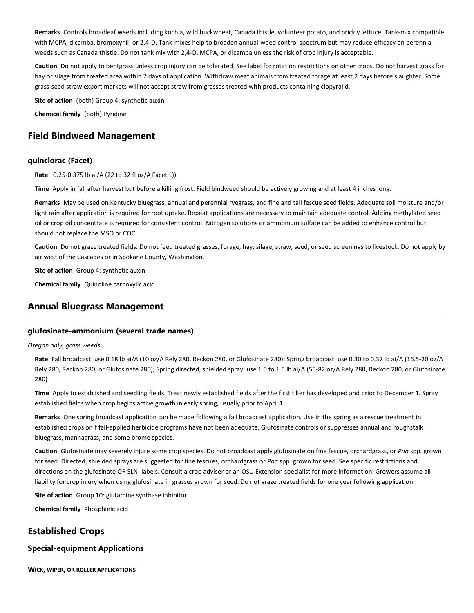**Remarks** Controls broadleaf weeds including kochia, wild buckwheat, Canada thistle, volunteer potato, and prickly lettuce. Tank-mix compatible with MCPA, dicamba, bromoxynil, or 2,4-D. Tank-mixes help to broaden annual-weed control spectrum but may reduce efficacy on perennial weeds such as Canada thistle. Do not tank mix with 2,4-D, MCPA, or dicamba unless the risk of crop injury is acceptable.

**Caution** Do not apply to bentgrass unless crop injury can be tolerated. See label for rotation restrictions on other crops. Do not harvest grass for hay or silage from treated area within 7 days of application. Withdraw meat animals from treated forage at least 2 days before slaughter. Some grass-seed straw export markets will not accept straw from grasses treated with products containing clopyralid.

**Site of action** (both) Group 4: synthetic auxin

**Chemical family** (both) Pyridine

# **Field Bindweed Management**

## **quinclorac (Facet)**

**Rate** 0.25-0.375 lb ai/A (22 to 32 fl oz/A Facet L))

**Time** Apply in fall after harvest but before a killing frost. Field bindweed should be actively growing and at least 4 inches long.

**Remarks** May be used on Kentucky bluegrass, annual and perennial ryegrass, and fine and tall fescue seed fields. Adequate soil moisture and/or light rain after application is required for root uptake. Repeat applications are necessary to maintain adequate control. Adding methylated seed oil or crop oil concentrate is required for consistent control. Nitrogen solutions or ammonium sulfate can be added to enhance control but should not replace the MSO or COC.

**Caution** Do not graze treated fields. Do not feed treated grasses, forage, hay, silage, straw, seed, or seed screenings to livestock. Do not apply by air west of the Cascades or in Spokane County, Washington.

**Site of action** Group 4: synthetic auxin

**Chemical family** Quinoline carboxylic acid

# **Annual Bluegrass Management**

## **glufosinate-ammonium (several trade names)**

#### *Oregon only, grass weeds*

**Rate** Fall broadcast: use 0.18 lb ai/A (10 oz/A Rely 280, Reckon 280, or Glufosinate 280); Spring broadcast: use 0.30 to 0.37 lb ai/A (16.5-20 oz/A Rely 280, Reckon 280, or Glufosinate 280); Spring directed, shielded spray: use 1.0 to 1.5 lb ai/A (55-82 oz/A Rely 280, Reckon 280, or Glufosinate 280)

**Time** Apply to established and seedling fields. Treat newly established fields after the first tiller has developed and prior to December 1. Spray established fields when crop begins active growth in early spring, usually prior to April 1.

**Remarks** One spring broadcast application can be made following a fall broadcast application. Use in the spring as a rescue treatment in established crops or if fall-applied herbicide programs have not been adequate. Glufosinate controls or suppresses annual and roughstalk bluegrass, mannagrass, and some brome species.

**Caution** Glufosinate may severely injure some crop species. Do not broadcast apply glufosinate on fine fescue, orchardgrass, or *Poa* spp. grown for seed. Directed, shielded sprays are suggested for fine fescues, orchardgrass or *Poa* spp. grown for seed. See specific restrictions and directions on the glufosinate OR SLN labels. Consult a crop adviser or an OSU Extension specialist for more information. Growers assume all liability for crop injury when using glufosinate in grasses grown for seed. Do not graze treated fields for one year following application.

**Site of action** Group 10: glutamine synthase inhibitor

**Chemical family** Phosphinic acid

# **Established Crops**

## **Special-equipment Applications**

**WICK, WIPER, OR ROLLER APPLICATIONS**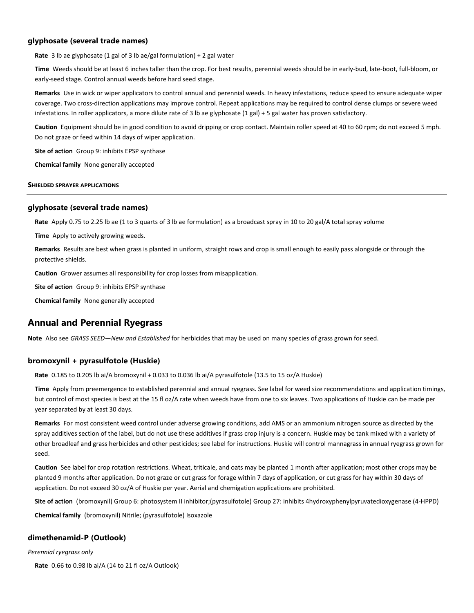## **glyphosate (several trade names)**

**Rate** 3 lb ae glyphosate (1 gal of 3 lb ae/gal formulation) + 2 gal water

**Time** Weeds should be at least 6 inches taller than the crop. For best results, perennial weeds should be in early-bud, late-boot, full-bloom, or early-seed stage. Control annual weeds before hard seed stage.

**Remarks** Use in wick or wiper applicators to control annual and perennial weeds. In heavy infestations, reduce speed to ensure adequate wiper coverage. Two cross-direction applications may improve control. Repeat applications may be required to control dense clumps or severe weed infestations. In roller applicators, a more dilute rate of 3 lb ae glyphosate (1 gal) + 5 gal water has proven satisfactory.

**Caution** Equipment should be in good condition to avoid dripping or crop contact. Maintain roller speed at 40 to 60 rpm; do not exceed 5 mph. Do not graze or feed within 14 days of wiper application.

**Site of action** Group 9: inhibits EPSP synthase

**Chemical family** None generally accepted

#### **SHIELDED SPRAYER APPLICATIONS**

## **glyphosate (several trade names)**

**Rate** Apply 0.75 to 2.25 lb ae (1 to 3 quarts of 3 lb ae formulation) as a broadcast spray in 10 to 20 gal/A total spray volume

**Time** Apply to actively growing weeds.

**Remarks** Results are best when grass is planted in uniform, straight rows and crop is small enough to easily pass alongside or through the protective shields.

**Caution** Grower assumes all responsibility for crop losses from misapplication.

**Site of action** Group 9: inhibits EPSP synthase

**Chemical family** None generally accepted

# **Annual and Perennial Ryegrass**

**Note** Also see *GRASS SEED—New and Established* for herbicides that may be used on many species of grass grown for seed.

## **bromoxynil + pyrasulfotole (Huskie)**

**Rate** 0.185 to 0.205 lb ai/A bromoxynil + 0.033 to 0.036 lb ai/A pyrasulfotole (13.5 to 15 oz/A Huskie)

**Time** Apply from preemergence to established perennial and annual ryegrass. See label for weed size recommendations and application timings, but control of most species is best at the 15 fl oz/A rate when weeds have from one to six leaves. Two applications of Huskie can be made per year separated by at least 30 days.

**Remarks** For most consistent weed control under adverse growing conditions, add AMS or an ammonium nitrogen source as directed by the spray additives section of the label, but do not use these additives if grass crop injury is a concern. Huskie may be tank mixed with a variety of other broadleaf and grass herbicides and other pesticides; see label for instructions. Huskie will control mannagrass in annual ryegrass grown for seed.

**Caution** See label for crop rotation restrictions. Wheat, triticale, and oats may be planted 1 month after application; most other crops may be planted 9 months after application. Do not graze or cut grass for forage within 7 days of application, or cut grass for hay within 30 days of application. Do not exceed 30 oz/A of Huskie per year. Aerial and chemigation applications are prohibited.

**Site of action** (bromoxynil) Group 6: photosystem II inhibitor;(pyrasulfotole) Group 27: inhibits 4hydroxyphenylpyruvatedioxygenase (4-HPPD)

**Chemical family** (bromoxynil) Nitrile; (pyrasulfotole) Isoxazole

#### **dimethenamid-P (Outlook)**

*Perennial ryegrass only*

**Rate** 0.66 to 0.98 lb ai/A (14 to 21 fl oz/A Outlook)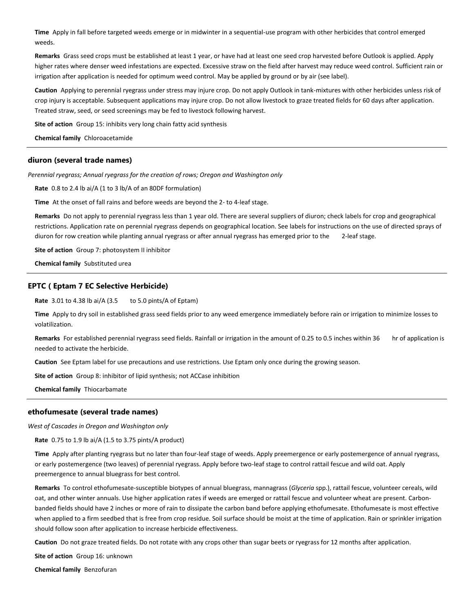**Time** Apply in fall before targeted weeds emerge or in midwinter in a sequential-use program with other herbicides that control emerged weeds.

**Remarks** Grass seed crops must be established at least 1 year, or have had at least one seed crop harvested before Outlook is applied. Apply higher rates where denser weed infestations are expected. Excessive straw on the field after harvest may reduce weed control. Sufficient rain or irrigation after application is needed for optimum weed control. May be applied by ground or by air (see label).

**Caution** Applying to perennial ryegrass under stress may injure crop. Do not apply Outlook in tank-mixtures with other herbicides unless risk of crop injury is acceptable. Subsequent applications may injure crop. Do not allow livestock to graze treated fields for 60 days after application. Treated straw, seed, or seed screenings may be fed to livestock following harvest.

**Site of action** Group 15: inhibits very long chain fatty acid synthesis

**Chemical family** Chloroacetamide

#### **diuron (several trade names)**

*Perennial ryegrass; Annual ryegrass for the creation of rows; Oregon and Washington only*

**Rate** 0.8 to 2.4 lb ai/A (1 to 3 lb/A of an 80DF formulation)

**Time** At the onset of fall rains and before weeds are beyond the 2- to 4-leaf stage.

**Remarks** Do not apply to perennial ryegrass less than 1 year old. There are several suppliers of diuron; check labels for crop and geographical restrictions. Application rate on perennial ryegrass depends on geographical location. See labels for instructions on the use of directed sprays of diuron for row creation while planting annual ryegrass or after annual ryegrass has emerged prior to the 2-leaf stage.

**Site of action** Group 7: photosystem II inhibitor

**Chemical family** Substituted urea

## **EPTC ( Eptam 7 EC Selective Herbicide)**

**Rate** 3.01 to 4.38 lb ai/A (3.5 to 5.0 pints/A of Eptam)

**Time** Apply to dry soil in established grass seed fields prior to any weed emergence immediately before rain or irrigation to minimize losses to volatilization.

Remarks For established perennial ryegrass seed fields. Rainfall or irrigation in the amount of 0.25 to 0.5 inches within 36 hr of application is needed to activate the herbicide.

**Caution** See Eptam label for use precautions and use restrictions. Use Eptam only once during the growing season.

**Site of action** Group 8: inhibitor of lipid synthesis; not ACCase inhibition

**Chemical family** Thiocarbamate

## **ethofumesate (several trade names)**

*West of Cascades in Oregon and Washington only*

**Rate** 0.75 to 1.9 lb ai/A (1.5 to 3.75 pints/A product)

**Time** Apply after planting ryegrass but no later than four-leaf stage of weeds. Apply preemergence or early postemergence of annual ryegrass, or early postemergence (two leaves) of perennial ryegrass. Apply before two-leaf stage to control rattail fescue and wild oat. Apply preemergence to annual bluegrass for best control.

**Remarks** To control ethofumesate-susceptible biotypes of annual bluegrass, mannagrass (*Glyceria* spp.), rattail fescue, volunteer cereals, wild oat, and other winter annuals. Use higher application rates if weeds are emerged or rattail fescue and volunteer wheat are present. Carbonbanded fields should have 2 inches or more of rain to dissipate the carbon band before applying ethofumesate. Ethofumesate is most effective when applied to a firm seedbed that is free from crop residue. Soil surface should be moist at the time of application. Rain or sprinkler irrigation should follow soon after application to increase herbicide effectiveness.

**Caution** Do not graze treated fields. Do not rotate with any crops other than sugar beets or ryegrass for 12 months after application.

**Site of action** Group 16: unknown

**Chemical family** Benzofuran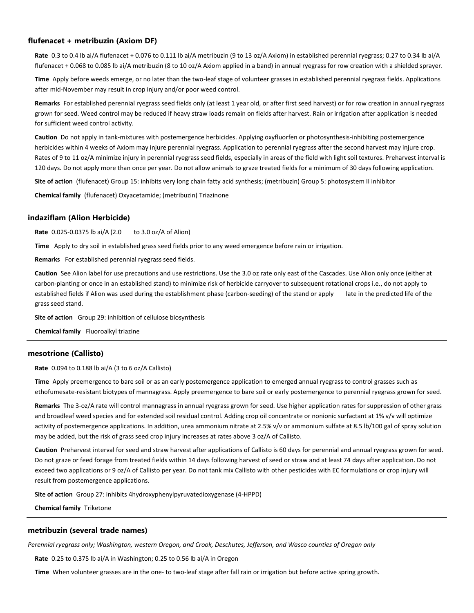## **flufenacet + metribuzin (Axiom DF)**

**Rate** 0.3 to 0.4 lb ai/A flufenacet + 0.076 to 0.111 lb ai/A metribuzin (9 to 13 oz/A Axiom) in established perennial ryegrass; 0.27 to 0.34 lb ai/A flufenacet + 0.068 to 0.085 lb ai/A metribuzin (8 to 10 oz/A Axiom applied in a band) in annual ryegrass for row creation with a shielded sprayer.

**Time** Apply before weeds emerge, or no later than the two-leaf stage of volunteer grasses in established perennial ryegrass fields. Applications after mid-November may result in crop injury and/or poor weed control.

**Remarks** For established perennial ryegrass seed fields only (at least 1 year old, or after first seed harvest) or for row creation in annual ryegrass grown for seed. Weed control may be reduced if heavy straw loads remain on fields after harvest. Rain or irrigation after application is needed for sufficient weed control activity.

**Caution** Do not apply in tank-mixtures with postemergence herbicides. Applying oxyfluorfen or photosynthesis-inhibiting postemergence herbicides within 4 weeks of Axiom may injure perennial ryegrass. Application to perennial ryegrass after the second harvest may injure crop. Rates of 9 to 11 oz/A minimize injury in perennial ryegrass seed fields, especially in areas of the field with light soil textures. Preharvest interval is 120 days. Do not apply more than once per year. Do not allow animals to graze treated fields for a minimum of 30 days following application.

**Site of action** (flufenacet) Group 15: inhibits very long chain fatty acid synthesis; (metribuzin) Group 5: photosystem II inhibitor

**Chemical family** (flufenacet) Oxyacetamide; (metribuzin) Triazinone

#### **indaziflam (Alion Herbicide)**

**Rate** 0.025-0.0375 lb ai/A (2.0 to 3.0 oz/A of Alion)

**Time** Apply to dry soil in established grass seed fields prior to any weed emergence before rain or irrigation.

**Remarks** For established perennial ryegrass seed fields.

**Caution** See Alion label for use precautions and use restrictions. Use the 3.0 oz rate only east of the Cascades. Use Alion only once (either at carbon-planting or once in an established stand) to minimize risk of herbicide carryover to subsequent rotational crops i.e., do not apply to established fields if Alion was used during the establishment phase (carbon-seeding) of the stand or apply late in the predicted life of the grass seed stand.

**Site of action** Group 29: inhibition of cellulose biosynthesis

**Chemical family** Fluoroalkyl triazine

## **mesotrione (Callisto)**

**Rate** 0.094 to 0.188 lb ai/A (3 to 6 oz/A Callisto)

**Time** Apply preemergence to bare soil or as an early postemergence application to emerged annual ryegrass to control grasses such as ethofumesate-resistant biotypes of mannagrass. Apply preemergence to bare soil or early postemergence to perennial ryegrass grown for seed.

**Remarks** The 3-oz/A rate will control mannagrass in annual ryegrass grown for seed. Use higher application rates for suppression of other grass and broadleaf weed species and for extended soil residual control. Adding crop oil concentrate or nonionic surfactant at 1% v/v will optimize activity of postemergence applications. In addition, urea ammonium nitrate at 2.5% v/v or ammonium sulfate at 8.5 lb/100 gal of spray solution may be added, but the risk of grass seed crop injury increases at rates above 3 oz/A of Callisto.

**Caution** Preharvest interval for seed and straw harvest after applications of Callisto is 60 days for perennial and annual ryegrass grown for seed. Do not graze or feed forage from treated fields within 14 days following harvest of seed or straw and at least 74 days after application. Do not exceed two applications or 9 oz/A of Callisto per year. Do not tank mix Callisto with other pesticides with EC formulations or crop injury will result from postemergence applications.

**Site of action** Group 27: inhibits 4hydroxyphenylpyruvatedioxygenase (4-HPPD)

**Chemical family** Triketone

#### **metribuzin (several trade names)**

*Perennial ryegrass only; Washington, western Oregon, and Crook, Deschutes, Jefferson, and Wasco counties of Oregon only*

**Rate** 0.25 to 0.375 lb ai/A in Washington; 0.25 to 0.56 lb ai/A in Oregon

**Time** When volunteer grasses are in the one- to two-leaf stage after fall rain or irrigation but before active spring growth.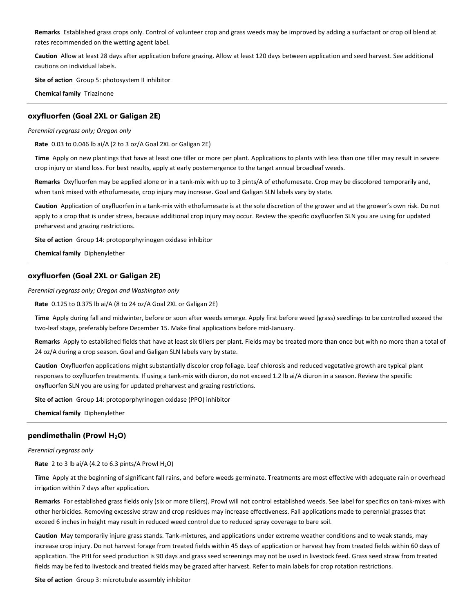**Remarks** Established grass crops only. Control of volunteer crop and grass weeds may be improved by adding a surfactant or crop oil blend at rates recommended on the wetting agent label.

**Caution** Allow at least 28 days after application before grazing. Allow at least 120 days between application and seed harvest. See additional cautions on individual labels.

**Site of action** Group 5: photosystem II inhibitor

**Chemical family** Triazinone

## **oxyfluorfen (Goal 2XL or Galigan 2E)**

*Perennial ryegrass only; Oregon only*

**Rate** 0.03 to 0.046 lb ai/A (2 to 3 oz/A Goal 2XL or Galigan 2E)

**Time** Apply on new plantings that have at least one tiller or more per plant. Applications to plants with less than one tiller may result in severe crop injury or stand loss. For best results, apply at early postemergence to the target annual broadleaf weeds.

**Remarks** Oxyfluorfen may be applied alone or in a tank-mix with up to 3 pints/A of ethofumesate. Crop may be discolored temporarily and, when tank mixed with ethofumesate, crop injury may increase. Goal and Galigan SLN labels vary by state.

**Caution** Application of oxyfluorfen in a tank-mix with ethofumesate is at the sole discretion of the grower and at the grower's own risk. Do not apply to a crop that is under stress, because additional crop injury may occur. Review the specific oxyfluorfen SLN you are using for updated preharvest and grazing restrictions.

**Site of action** Group 14: protoporphyrinogen oxidase inhibitor

**Chemical family** Diphenylether

## **oxyfluorfen (Goal 2XL or Galigan 2E)**

*Perennial ryegrass only; Oregon and Washington only*

**Rate** 0.125 to 0.375 lb ai/A (8 to 24 oz/A Goal 2XL or Galigan 2E)

**Time** Apply during fall and midwinter, before or soon after weeds emerge. Apply first before weed (grass) seedlings to be controlled exceed the two-leaf stage, preferably before December 15. Make final applications before mid-January.

**Remarks** Apply to established fields that have at least six tillers per plant. Fields may be treated more than once but with no more than a total of 24 oz/A during a crop season. Goal and Galigan SLN labels vary by state.

**Caution** Oxyfluorfen applications might substantially discolor crop foliage. Leaf chlorosis and reduced vegetative growth are typical plant responses to oxyfluorfen treatments. If using a tank-mix with diuron, do not exceed 1.2 lb ai/A diuron in a season. Review the specific oxyfluorfen SLN you are using for updated preharvest and grazing restrictions.

**Site of action** Group 14: protoporphyrinogen oxidase (PPO) inhibitor

**Chemical family** Diphenylether

## **pendimethalin (Prowl H2O)**

#### *Perennial ryegrass only*

**Rate** 2 to 3 lb ai/A (4.2 to 6.3 pints/A Prowl  $H_2O$ )

**Time** Apply at the beginning of significant fall rains, and before weeds germinate. Treatments are most effective with adequate rain or overhead irrigation within 7 days after application.

**Remarks** For established grass fields only (six or more tillers). Prowl will not control established weeds. See label for specifics on tank-mixes with other herbicides. Removing excessive straw and crop residues may increase effectiveness. Fall applications made to perennial grasses that exceed 6 inches in height may result in reduced weed control due to reduced spray coverage to bare soil.

**Caution** May temporarily injure grass stands. Tank-mixtures, and applications under extreme weather conditions and to weak stands, may increase crop injury. Do not harvest forage from treated fields within 45 days of application or harvest hay from treated fields within 60 days of application. The PHI for seed production is 90 days and grass seed screenings may not be used in livestock feed. Grass seed straw from treated fields may be fed to livestock and treated fields may be grazed after harvest. Refer to main labels for crop rotation restrictions.

**Site of action** Group 3: microtubule assembly inhibitor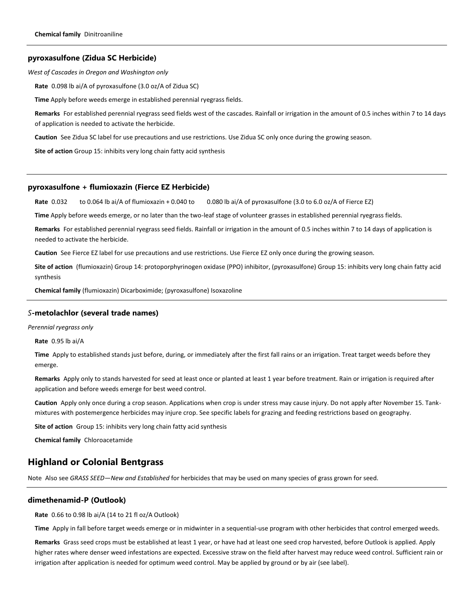#### **pyroxasulfone (Zidua SC Herbicide)**

*West of Cascades in Oregon and Washington only*

**Rate** 0.098 lb ai/A of pyroxasulfone (3.0 oz/A of Zidua SC)

**Time** Apply before weeds emerge in established perennial ryegrass fields.

**Remarks** For established perennial ryegrass seed fields west of the cascades. Rainfall or irrigation in the amount of 0.5 inches within 7 to 14 days of application is needed to activate the herbicide.

**Caution** See Zidua SC label for use precautions and use restrictions. Use Zidua SC only once during the growing season.

**Site of action** Group 15: inhibits very long chain fatty acid synthesis

## **pyroxasulfone + flumioxazin (Fierce EZ Herbicide)**

**Rate** 0.032 to 0.064 lb ai/A of flumioxazin + 0.040 to 0.080 lb ai/A of pyroxasulfone (3.0 to 6.0 oz/A of Fierce EZ)

**Time** Apply before weeds emerge, or no later than the two-leaf stage of volunteer grasses in established perennial ryegrass fields.

**Remarks** For established perennial ryegrass seed fields. Rainfall or irrigation in the amount of 0.5 inches within 7 to 14 days of application is needed to activate the herbicide.

**Caution** See Fierce EZ label for use precautions and use restrictions. Use Fierce EZ only once during the growing season.

**Site of action** (flumioxazin) Group 14: protoporphyrinogen oxidase (PPO) inhibitor, (pyroxasulfone) Group 15: inhibits very long chain fatty acid synthesis

**Chemical family** (flumioxazin) Dicarboximide; (pyroxasulfone) Isoxazoline

#### *S***-metolachlor (several trade names)**

*Perennial ryegrass only*

**Rate** 0.95 lb ai/A

**Time** Apply to established stands just before, during, or immediately after the first fall rains or an irrigation. Treat target weeds before they emerge.

**Remarks** Apply only to stands harvested for seed at least once or planted at least 1 year before treatment. Rain or irrigation is required after application and before weeds emerge for best weed control.

**Caution** Apply only once during a crop season. Applications when crop is under stress may cause injury. Do not apply after November 15. Tankmixtures with postemergence herbicides may injure crop. See specific labels for grazing and feeding restrictions based on geography.

**Site of action** Group 15: inhibits very long chain fatty acid synthesis

**Chemical family** Chloroacetamide

# **Highland or Colonial Bentgrass**

Note Also see *GRASS SEED—New and Established* for herbicides that may be used on many species of grass grown for seed.

## **dimethenamid-P (Outlook)**

**Rate** 0.66 to 0.98 lb ai/A (14 to 21 fl oz/A Outlook)

**Time** Apply in fall before target weeds emerge or in midwinter in a sequential-use program with other herbicides that control emerged weeds.

**Remarks** Grass seed crops must be established at least 1 year, or have had at least one seed crop harvested, before Outlook is applied. Apply higher rates where denser weed infestations are expected. Excessive straw on the field after harvest may reduce weed control. Sufficient rain or irrigation after application is needed for optimum weed control. May be applied by ground or by air (see label).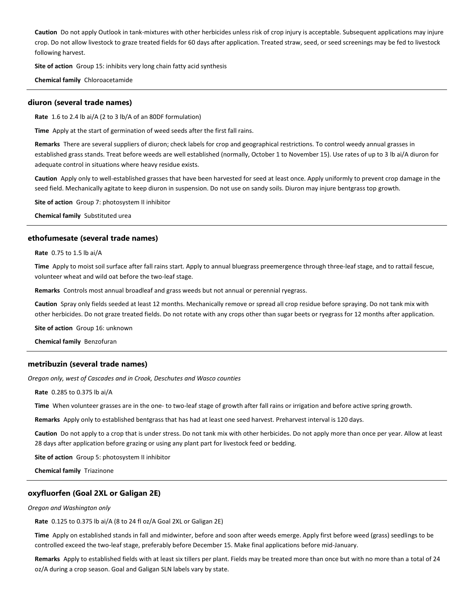**Caution** Do not apply Outlook in tank-mixtures with other herbicides unless risk of crop injury is acceptable. Subsequent applications may injure crop. Do not allow livestock to graze treated fields for 60 days after application. Treated straw, seed, or seed screenings may be fed to livestock following harvest.

**Site of action** Group 15: inhibits very long chain fatty acid synthesis

**Chemical family** Chloroacetamide

#### **diuron (several trade names)**

**Rate** 1.6 to 2.4 lb ai/A (2 to 3 lb/A of an 80DF formulation)

**Time** Apply at the start of germination of weed seeds after the first fall rains.

**Remarks** There are several suppliers of diuron; check labels for crop and geographical restrictions. To control weedy annual grasses in established grass stands. Treat before weeds are well established (normally, October 1 to November 15). Use rates of up to 3 lb ai/A diuron for adequate control in situations where heavy residue exists.

**Caution** Apply only to well-established grasses that have been harvested for seed at least once. Apply uniformly to prevent crop damage in the seed field. Mechanically agitate to keep diuron in suspension. Do not use on sandy soils. Diuron may injure bentgrass top growth.

**Site of action** Group 7: photosystem II inhibitor

**Chemical family** Substituted urea

## **ethofumesate (several trade names)**

**Rate** 0.75 to 1.5 lb ai/A

**Time** Apply to moist soil surface after fall rains start. Apply to annual bluegrass preemergence through three-leaf stage, and to rattail fescue, volunteer wheat and wild oat before the two-leaf stage.

**Remarks** Controls most annual broadleaf and grass weeds but not annual or perennial ryegrass.

**Caution** Spray only fields seeded at least 12 months. Mechanically remove or spread all crop residue before spraying. Do not tank mix with other herbicides. Do not graze treated fields. Do not rotate with any crops other than sugar beets or ryegrass for 12 months after application.

**Site of action** Group 16: unknown

**Chemical family** Benzofuran

## **metribuzin (several trade names)**

*Oregon only, west of Cascades and in Crook, Deschutes and Wasco counties*

**Rate** 0.285 to 0.375 lb ai/A

**Time** When volunteer grasses are in the one- to two-leaf stage of growth after fall rains or irrigation and before active spring growth.

**Remarks** Apply only to established bentgrass that has had at least one seed harvest. Preharvest interval is 120 days.

**Caution** Do not apply to a crop that is under stress. Do not tank mix with other herbicides. Do not apply more than once per year. Allow at least 28 days after application before grazing or using any plant part for livestock feed or bedding.

**Site of action** Group 5: photosystem II inhibitor

**Chemical family** Triazinone

## **oxyfluorfen (Goal 2XL or Galigan 2E)**

#### *Oregon and Washington only*

**Rate** 0.125 to 0.375 lb ai/A (8 to 24 fl oz/A Goal 2XL or Galigan 2E)

**Time** Apply on established stands in fall and midwinter, before and soon after weeds emerge. Apply first before weed (grass) seedlings to be controlled exceed the two-leaf stage, preferably before December 15. Make final applications before mid-January.

**Remarks** Apply to established fields with at least six tillers per plant. Fields may be treated more than once but with no more than a total of 24 oz/A during a crop season. Goal and Galigan SLN labels vary by state.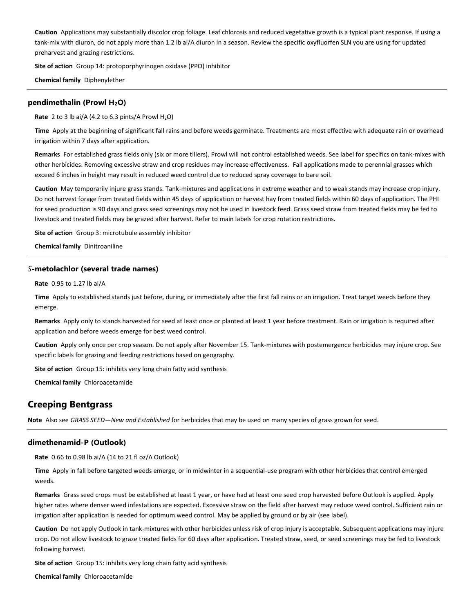**Caution** Applications may substantially discolor crop foliage. Leaf chlorosis and reduced vegetative growth is a typical plant response. If using a tank-mix with diuron, do not apply more than 1.2 lb ai/A diuron in a season. Review the specific oxyfluorfen SLN you are using for updated preharvest and grazing restrictions.

**Site of action** Group 14: protoporphyrinogen oxidase (PPO) inhibitor

**Chemical family** Diphenylether

## **pendimethalin (Prowl H2O)**

**Rate** 2 to 3 lb ai/A (4.2 to 6.3 pints/A Prowl  $H_2O$ )

**Time** Apply at the beginning of significant fall rains and before weeds germinate. Treatments are most effective with adequate rain or overhead irrigation within 7 days after application.

**Remarks** For established grass fields only (six or more tillers). Prowl will not control established weeds. See label for specifics on tank-mixes with other herbicides. Removing excessive straw and crop residues may increase effectiveness. Fall applications made to perennial grasses which exceed 6 inches in height may result in reduced weed control due to reduced spray coverage to bare soil.

**Caution** May temporarily injure grass stands. Tank-mixtures and applications in extreme weather and to weak stands may increase crop injury. Do not harvest forage from treated fields within 45 days of application or harvest hay from treated fields within 60 days of application. The PHI for seed production is 90 days and grass seed screenings may not be used in livestock feed. Grass seed straw from treated fields may be fed to livestock and treated fields may be grazed after harvest. Refer to main labels for crop rotation restrictions.

**Site of action** Group 3: microtubule assembly inhibitor

**Chemical family** Dinitroaniline

#### *S***-metolachlor (several trade names)**

**Rate** 0.95 to 1.27 lb ai/A

**Time** Apply to established stands just before, during, or immediately after the first fall rains or an irrigation. Treat target weeds before they emerge.

**Remarks** Apply only to stands harvested for seed at least once or planted at least 1 year before treatment. Rain or irrigation is required after application and before weeds emerge for best weed control.

**Caution** Apply only once per crop season. Do not apply after November 15. Tank-mixtures with postemergence herbicides may injure crop. See specific labels for grazing and feeding restrictions based on geography.

**Site of action** Group 15: inhibits very long chain fatty acid synthesis

**Chemical family** Chloroacetamide

# **Creeping Bentgrass**

**Note** Also see *GRASS SEED—New and Established* for herbicides that may be used on many species of grass grown for seed.

## **dimethenamid-P (Outlook)**

**Rate** 0.66 to 0.98 lb ai/A (14 to 21 fl oz/A Outlook)

**Time** Apply in fall before targeted weeds emerge, or in midwinter in a sequential-use program with other herbicides that control emerged weeds.

**Remarks** Grass seed crops must be established at least 1 year, or have had at least one seed crop harvested before Outlook is applied. Apply higher rates where denser weed infestations are expected. Excessive straw on the field after harvest may reduce weed control. Sufficient rain or irrigation after application is needed for optimum weed control. May be applied by ground or by air (see label).

**Caution** Do not apply Outlook in tank-mixtures with other herbicides unless risk of crop injury is acceptable. Subsequent applications may injure crop. Do not allow livestock to graze treated fields for 60 days after application. Treated straw, seed, or seed screenings may be fed to livestock following harvest.

**Site of action** Group 15: inhibits very long chain fatty acid synthesis

**Chemical family** Chloroacetamide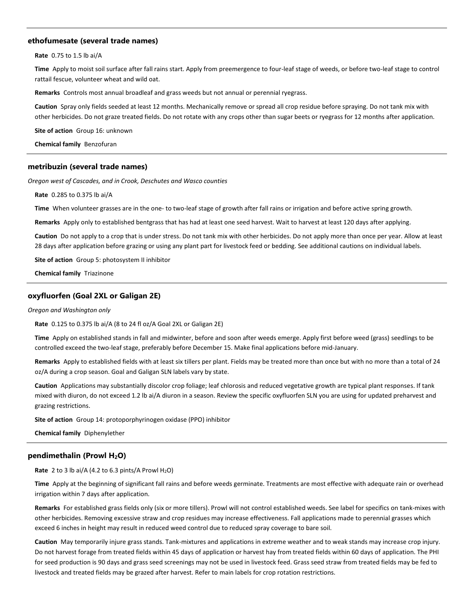### **ethofumesate (several trade names)**

**Rate** 0.75 to 1.5 lb ai/A

**Time** Apply to moist soil surface after fall rains start. Apply from preemergence to four-leaf stage of weeds, or before two-leaf stage to control rattail fescue, volunteer wheat and wild oat.

**Remarks** Controls most annual broadleaf and grass weeds but not annual or perennial ryegrass.

**Caution** Spray only fields seeded at least 12 months. Mechanically remove or spread all crop residue before spraying. Do not tank mix with other herbicides. Do not graze treated fields. Do not rotate with any crops other than sugar beets or ryegrass for 12 months after application.

**Site of action** Group 16: unknown

**Chemical family** Benzofuran

#### **metribuzin (several trade names)**

*Oregon west of Cascades, and in Crook, Deschutes and Wasco counties*

**Rate** 0.285 to 0.375 lb ai/A

**Time** When volunteer grasses are in the one- to two-leaf stage of growth after fall rains or irrigation and before active spring growth.

**Remarks** Apply only to established bentgrass that has had at least one seed harvest. Wait to harvest at least 120 days after applying.

**Caution** Do not apply to a crop that is under stress. Do not tank mix with other herbicides. Do not apply more than once per year. Allow at least 28 days after application before grazing or using any plant part for livestock feed or bedding. See additional cautions on individual labels.

**Site of action** Group 5: photosystem II inhibitor

**Chemical family** Triazinone

#### **oxyfluorfen (Goal 2XL or Galigan 2E)**

#### *Oregon and Washington only*

**Rate** 0.125 to 0.375 lb ai/A (8 to 24 fl oz/A Goal 2XL or Galigan 2E)

**Time** Apply on established stands in fall and midwinter, before and soon after weeds emerge. Apply first before weed (grass) seedlings to be controlled exceed the two-leaf stage, preferably before December 15. Make final applications before mid-January.

**Remarks** Apply to established fields with at least six tillers per plant. Fields may be treated more than once but with no more than a total of 24 oz/A during a crop season. Goal and Galigan SLN labels vary by state.

**Caution** Applications may substantially discolor crop foliage; leaf chlorosis and reduced vegetative growth are typical plant responses. If tank mixed with diuron, do not exceed 1.2 lb ai/A diuron in a season. Review the specific oxyfluorfen SLN you are using for updated preharvest and grazing restrictions.

**Site of action** Group 14: protoporphyrinogen oxidase (PPO) inhibitor

**Chemical family** Diphenylether

## **pendimethalin (Prowl H2O)**

**Rate** 2 to 3 lb ai/A (4.2 to 6.3 pints/A Prowl  $H_2O$ )

**Time** Apply at the beginning of significant fall rains and before weeds germinate. Treatments are most effective with adequate rain or overhead irrigation within 7 days after application.

**Remarks** For established grass fields only (six or more tillers). Prowl will not control established weeds. See label for specifics on tank-mixes with other herbicides. Removing excessive straw and crop residues may increase effectiveness. Fall applications made to perennial grasses which exceed 6 inches in height may result in reduced weed control due to reduced spray coverage to bare soil.

**Caution** May temporarily injure grass stands. Tank-mixtures and applications in extreme weather and to weak stands may increase crop injury. Do not harvest forage from treated fields within 45 days of application or harvest hay from treated fields within 60 days of application. The PHI for seed production is 90 days and grass seed screenings may not be used in livestock feed. Grass seed straw from treated fields may be fed to livestock and treated fields may be grazed after harvest. Refer to main labels for crop rotation restrictions.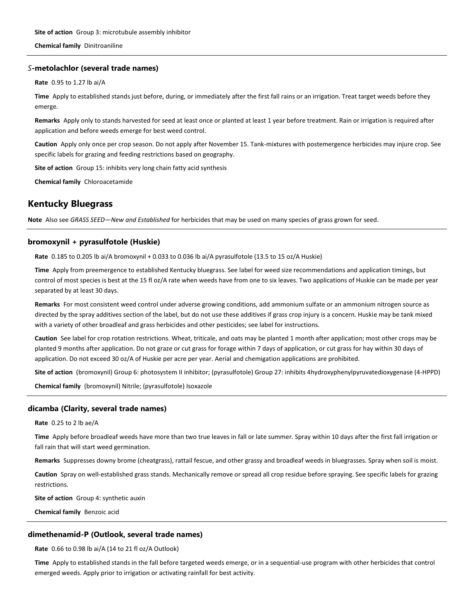**Chemical family** Dinitroaniline

## *S***-metolachlor (several trade names)**

**Rate** 0.95 to 1.27 lb ai/A

**Time** Apply to established stands just before, during, or immediately after the first fall rains or an irrigation. Treat target weeds before they emerge.

**Remarks** Apply only to stands harvested for seed at least once or planted at least 1 year before treatment. Rain or irrigation is required after application and before weeds emerge for best weed control.

**Caution** Apply only once per crop season. Do not apply after November 15. Tank-mixtures with postemergence herbicides may injure crop. See specific labels for grazing and feeding restrictions based on geography.

**Site of action** Group 15: inhibits very long chain fatty acid synthesis

**Chemical family** Chloroacetamide

# **Kentucky Bluegrass**

**Note** Also see *GRASS SEED—New and Established* for herbicides that may be used on many species of grass grown for seed.

## **bromoxynil + pyrasulfotole (Huskie)**

**Rate** 0.185 to 0.205 lb ai/A bromoxynil + 0.033 to 0.036 lb ai/A pyrasulfotole (13.5 to 15 oz/A Huskie)

**Time** Apply from preemergence to established Kentucky bluegrass. See label for weed size recommendations and application timings, but control of most species is best at the 15 fl oz/A rate when weeds have from one to six leaves. Two applications of Huskie can be made per year separated by at least 30 days.

**Remarks** For most consistent weed control under adverse growing conditions, add ammonium sulfate or an ammonium nitrogen source as directed by the spray additives section of the label, but do not use these additives if grass crop injury is a concern. Huskie may be tank mixed with a variety of other broadleaf and grass herbicides and other pesticides; see label for instructions.

**Caution** See label for crop rotation restrictions. Wheat, triticale, and oats may be planted 1 month after application; most other crops may be planted 9 months after application. Do not graze or cut grass for forage within 7 days of application, or cut grass for hay within 30 days of application. Do not exceed 30 oz/A of Huskie per acre per year. Aerial and chemigation applications are prohibited.

**Site of action** (bromoxynil) Group 6: photosystem II inhibitor; (pyrasulfotole) Group 27: inhibits 4hydroxyphenylpyruvatedioxygenase (4-HPPD)

**Chemical family** (bromoxynil) Nitrile; (pyrasulfotole) Isoxazole

## **dicamba (Clarity, several trade names)**

**Rate** 0.25 to 2 lb ae/A

**Time** Apply before broadleaf weeds have more than two true leaves in fall or late summer. Spray within 10 days after the first fall irrigation or fall rain that will start weed germination.

**Remarks** Suppresses downy brome (cheatgrass), rattail fescue, and other grassy and broadleaf weeds in bluegrasses. Spray when soil is moist.

**Caution** Spray on well-established grass stands. Mechanically remove or spread all crop residue before spraying. See specific labels for grazing restrictions.

**Site of action** Group 4: synthetic auxin

**Chemical family** Benzoic acid

#### **dimethenamid-P (Outlook, several trade names)**

**Rate** 0.66 to 0.98 lb ai/A (14 to 21 fl oz/A Outlook)

**Time** Apply to established stands in the fall before targeted weeds emerge, or in a sequential-use program with other herbicides that control emerged weeds. Apply prior to irrigation or activating rainfall for best activity.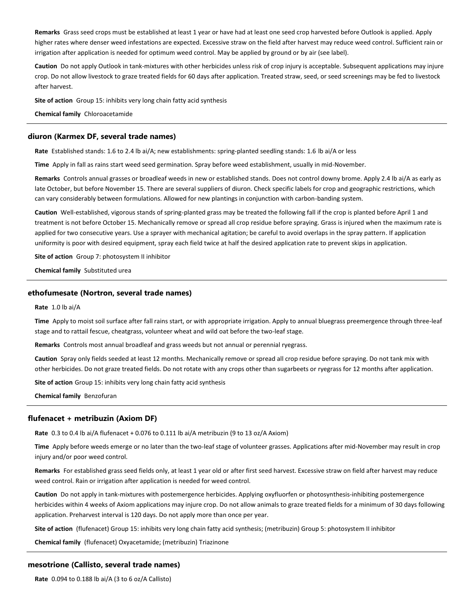**Remarks** Grass seed crops must be established at least 1 year or have had at least one seed crop harvested before Outlook is applied. Apply higher rates where denser weed infestations are expected. Excessive straw on the field after harvest may reduce weed control. Sufficient rain or irrigation after application is needed for optimum weed control. May be applied by ground or by air (see label).

**Caution** Do not apply Outlook in tank-mixtures with other herbicides unless risk of crop injury is acceptable. Subsequent applications may injure crop. Do not allow livestock to graze treated fields for 60 days after application. Treated straw, seed, or seed screenings may be fed to livestock after harvest.

**Site of action** Group 15: inhibits very long chain fatty acid synthesis

**Chemical family** Chloroacetamide

#### **diuron (Karmex DF, several trade names)**

**Rate** Established stands: 1.6 to 2.4 lb ai/A; new establishments: spring-planted seedling stands: 1.6 lb ai/A or less

**Time** Apply in fall as rains start weed seed germination. Spray before weed establishment, usually in mid-November.

**Remarks** Controls annual grasses or broadleaf weeds in new or established stands. Does not control downy brome. Apply 2.4 lb ai/A as early as late October, but before November 15. There are several suppliers of diuron. Check specific labels for crop and geographic restrictions, which can vary considerably between formulations. Allowed for new plantings in conjunction with carbon-banding system.

**Caution** Well-established, vigorous stands of spring-planted grass may be treated the following fall if the crop is planted before April 1 and treatment is not before October 15. Mechanically remove or spread all crop residue before spraying. Grass is injured when the maximum rate is applied for two consecutive years. Use a sprayer with mechanical agitation; be careful to avoid overlaps in the spray pattern. If application uniformity is poor with desired equipment, spray each field twice at half the desired application rate to prevent skips in application.

**Site of action** Group 7: photosystem II inhibitor

**Chemical family** Substituted urea

## **ethofumesate (Nortron, several trade names)**

## **Rate** 1.0 lb ai/A

**Time** Apply to moist soil surface after fall rains start, or with appropriate irrigation. Apply to annual bluegrass preemergence through three-leaf stage and to rattail fescue, cheatgrass, volunteer wheat and wild oat before the two-leaf stage.

**Remarks** Controls most annual broadleaf and grass weeds but not annual or perennial ryegrass.

**Caution** Spray only fields seeded at least 12 months. Mechanically remove or spread all crop residue before spraying. Do not tank mix with other herbicides. Do not graze treated fields. Do not rotate with any crops other than sugarbeets or ryegrass for 12 months after application.

**Site of action** Group 15: inhibits very long chain fatty acid synthesis

**Chemical family** Benzofuran

#### **flufenacet + metribuzin (Axiom DF)**

**Rate** 0.3 to 0.4 lb ai/A flufenacet + 0.076 to 0.111 lb ai/A metribuzin (9 to 13 oz/A Axiom)

**Time** Apply before weeds emerge or no later than the two-leaf stage of volunteer grasses. Applications after mid-November may result in crop injury and/or poor weed control.

**Remarks** For established grass seed fields only, at least 1 year old or after first seed harvest. Excessive straw on field after harvest may reduce weed control. Rain or irrigation after application is needed for weed control.

**Caution** Do not apply in tank-mixtures with postemergence herbicides. Applying oxyfluorfen or photosynthesis-inhibiting postemergence herbicides within 4 weeks of Axiom applications may injure crop. Do not allow animals to graze treated fields for a minimum of 30 days following application. Preharvest interval is 120 days. Do not apply more than once per year.

**Site of action** (flufenacet) Group 15: inhibits very long chain fatty acid synthesis; (metribuzin) Group 5: photosystem II inhibitor

**Chemical family** (flufenacet) Oxyacetamide; (metribuzin) Triazinone

#### **mesotrione (Callisto, several trade names)**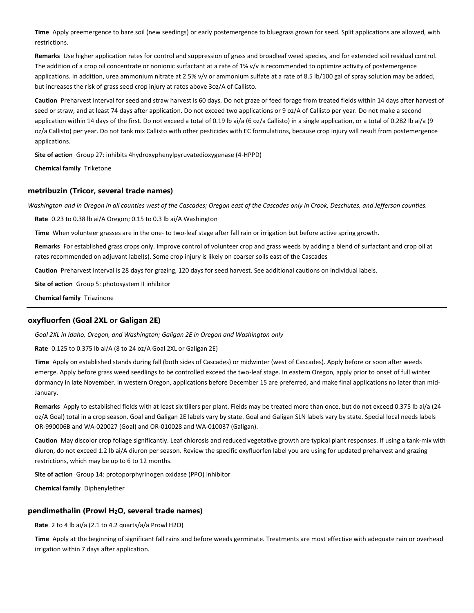**Time** Apply preemergence to bare soil (new seedings) or early postemergence to bluegrass grown for seed. Split applications are allowed, with restrictions.

**Remarks** Use higher application rates for control and suppression of grass and broadleaf weed species, and for extended soil residual control. The addition of a crop oil concentrate or nonionic surfactant at a rate of 1% v/v is recommended to optimize activity of postemergence applications. In addition, urea ammonium nitrate at 2.5% v/v or ammonium sulfate at a rate of 8.5 lb/100 gal of spray solution may be added, but increases the risk of grass seed crop injury at rates above 3oz/A of Callisto.

**Caution** Preharvest interval for seed and straw harvest is 60 days. Do not graze or feed forage from treated fields within 14 days after harvest of seed or straw, and at least 74 days after application. Do not exceed two applications or 9 oz/A of Callisto per year. Do not make a second application within 14 days of the first. Do not exceed a total of 0.19 lb ai/a (6 oz/a Callisto) in a single application, or a total of 0.282 lb ai/a (9 oz/a Callisto) per year. Do not tank mix Callisto with other pesticides with EC formulations, because crop injury will result from postemergence applications.

**Site of action** Group 27: inhibits 4hydroxyphenylpyruvatedioxygenase (4-HPPD)

**Chemical family** Triketone

## **metribuzin (Tricor, several trade names)**

*Washington and in Oregon in all counties west of the Cascades; Oregon east of the Cascades only in Crook, Deschutes, and Jefferson counties.*

**Rate** 0.23 to 0.38 lb ai/A Oregon; 0.15 to 0.3 lb ai/A Washington

**Time** When volunteer grasses are in the one- to two-leaf stage after fall rain or irrigation but before active spring growth.

**Remarks** For established grass crops only. Improve control of volunteer crop and grass weeds by adding a blend of surfactant and crop oil at rates recommended on adjuvant label(s). Some crop injury is likely on coarser soils east of the Cascades

**Caution** Preharvest interval is 28 days for grazing, 120 days for seed harvest. See additional cautions on individual labels.

**Site of action** Group 5: photosystem II inhibitor

**Chemical family** Triazinone

## **oxyfluorfen (Goal 2XL or Galigan 2E)**

*Goal 2XL in Idaho, Oregon, and Washington; Galigan 2E in Oregon and Washington only*

**Rate** 0.125 to 0.375 lb ai/A (8 to 24 oz/A Goal 2XL or Galigan 2E)

**Time** Apply on established stands during fall (both sides of Cascades) or midwinter (west of Cascades). Apply before or soon after weeds emerge. Apply before grass weed seedlings to be controlled exceed the two-leaf stage. In eastern Oregon, apply prior to onset of full winter dormancy in late November. In western Oregon, applications before December 15 are preferred, and make final applications no later than mid-January.

**Remarks** Apply to established fields with at least six tillers per plant. Fields may be treated more than once, but do not exceed 0.375 lb ai/a (24 oz/A Goal) total in a crop season. Goal and Galigan 2E labels vary by state. Goal and Galigan SLN labels vary by state. Special local needs labels OR-990006B and WA-020027 (Goal) and OR-010028 and WA-010037 (Galigan).

**Caution** May discolor crop foliage significantly. Leaf chlorosis and reduced vegetative growth are typical plant responses. If using a tank-mix with diuron, do not exceed 1.2 lb ai/A diuron per season. Review the specific oxyfluorfen label you are using for updated preharvest and grazing restrictions, which may be up to 6 to 12 months.

**Site of action** Group 14: protoporphyrinogen oxidase (PPO) inhibitor

**Chemical family** Diphenylether

## **pendimethalin (Prowl H2O, several trade names)**

**Rate** 2 to 4 lb ai/a (2.1 to 4.2 quarts/a/a Prowl H2O)

**Time** Apply at the beginning of significant fall rains and before weeds germinate. Treatments are most effective with adequate rain or overhead irrigation within 7 days after application.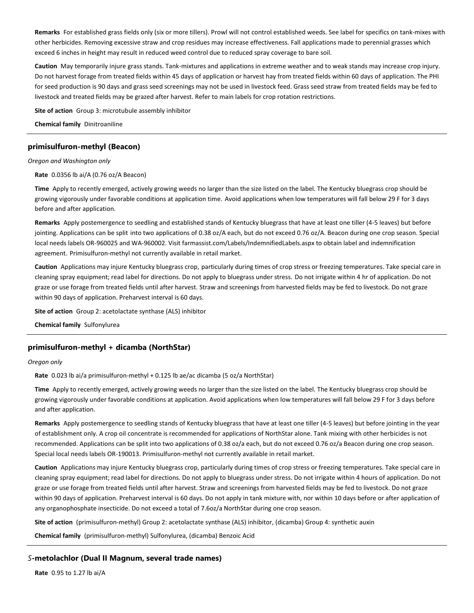**Remarks** For established grass fields only (six or more tillers). Prowl will not control established weeds. See label for specifics on tank-mixes with other herbicides. Removing excessive straw and crop residues may increase effectiveness. Fall applications made to perennial grasses which exceed 6 inches in height may result in reduced weed control due to reduced spray coverage to bare soil.

**Caution** May temporarily injure grass stands. Tank-mixtures and applications in extreme weather and to weak stands may increase crop injury. Do not harvest forage from treated fields within 45 days of application or harvest hay from treated fields within 60 days of application. The PHI for seed production is 90 days and grass seed screenings may not be used in livestock feed. Grass seed straw from treated fields may be fed to livestock and treated fields may be grazed after harvest. Refer to main labels for crop rotation restrictions.

**Site of action** Group 3: microtubule assembly inhibitor

**Chemical family** Dinitroaniline

## **primisulfuron-methyl (Beacon)**

*Oregon and Washington only*

**Rate** 0.0356 lb ai/A (0.76 oz/A Beacon)

**Time** Apply to recently emerged, actively growing weeds no larger than the size listed on the label. The Kentucky bluegrass crop should be growing vigorously under favorable conditions at application time. Avoid applications when low temperatures will fall below 29 F for 3 days before and after application.

**Remarks** Apply postemergence to seedling and established stands of Kentucky bluegrass that have at least one tiller (4-5 leaves) but before jointing. Applications can be split into two applications of 0.38 oz/A each, but do not exceed 0.76 oz/A. Beacon during one crop season. Special local needs labels OR-960025 and WA-960002. Visit farmassist.com/Labels/IndemnifiedLabels.aspx to obtain label and indemnification agreement. Primisulfuron-methyl not currently available in retail market.

**Caution** Applications may injure Kentucky bluegrass crop, particularly during times of crop stress or freezing temperatures. Take special care in cleaning spray equipment; read label for directions. Do not apply to bluegrass under stress. Do not irrigate within 4 hr of application. Do not graze or use forage from treated fields until after harvest. Straw and screenings from harvested fields may be fed to livestock. Do not graze within 90 days of application. Preharvest interval is 60 days.

**Site of action** Group 2: acetolactate synthase (ALS) inhibitor

**Chemical family** Sulfonylurea

## **primisulfuron-methyl + dicamba (NorthStar)**

*Oregon only*

**Rate** 0.023 lb ai/a primisulfuron-methyl + 0.125 lb ae/ac dicamba (5 oz/a NorthStar)

**Time** Apply to recently emerged, actively growing weeds no larger than the size listed on the label. The Kentucky bluegrass crop should be growing vigorously under favorable conditions at application. Avoid applications when low temperatures will fall below 29 F for 3 days before and after application.

**Remarks** Apply postemergence to seedling stands of Kentucky bluegrass that have at least one tiller (4-5 leaves) but before jointing in the year of establishment only. A crop oil concentrate is recommended for applications of NorthStar alone. Tank mixing with other herbicides is not recommended. Applications can be split into two applications of 0.38 oz/a each, but do not exceed 0.76 oz/a Beacon during one crop season. Special local needs labels OR-190013. Primisulfuron-methyl not currently available in retail market.

**Caution** Applications may injure Kentucky bluegrass crop, particularly during times of crop stress or freezing temperatures. Take special care in cleaning spray equipment; read label for directions. Do not apply to bluegrass under stress. Do not irrigate within 4 hours of application. Do not graze or use forage from treated fields until after harvest. Straw and screenings from harvested fields may be fed to livestock. Do not graze within 90 days of application. Preharvest interval is 60 days. Do not apply in tank mixture with, nor within 10 days before or after application of any organophosphate insecticide. Do not exceed a total of 7.6oz/a NorthStar during one crop season.

**Site of action** (primisulfuron-methyl) Group 2: acetolactate synthase (ALS) inhibitor, (dicamba) Group 4: synthetic auxin

**Chemical family** (primisulfuron-methyl) Sulfonylurea, (dicamba) Benzoic Acid

*S***-metolachlor (Dual II Magnum, several trade names)**

**Rate** 0.95 to 1.27 lb ai/A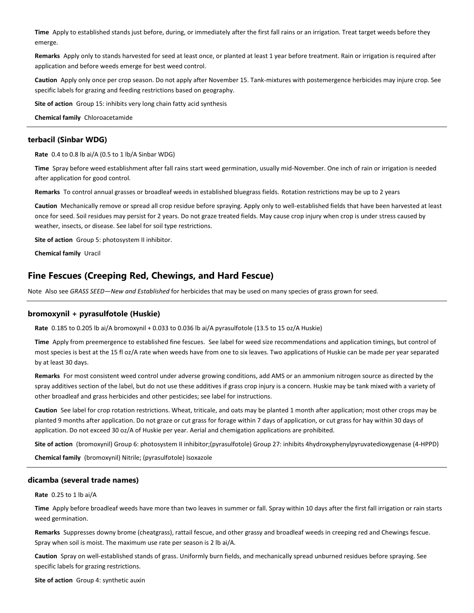**Time** Apply to established stands just before, during, or immediately after the first fall rains or an irrigation. Treat target weeds before they emerge.

**Remarks** Apply only to stands harvested for seed at least once, or planted at least 1 year before treatment. Rain or irrigation is required after application and before weeds emerge for best weed control.

**Caution** Apply only once per crop season. Do not apply after November 15. Tank-mixtures with postemergence herbicides may injure crop. See specific labels for grazing and feeding restrictions based on geography.

**Site of action** Group 15: inhibits very long chain fatty acid synthesis

**Chemical family** Chloroacetamide

## **terbacil (Sinbar WDG)**

**Rate** 0.4 to 0.8 lb ai/A (0.5 to 1 lb/A Sinbar WDG)

**Time** Spray before weed establishment after fall rains start weed germination, usually mid-November. One inch of rain or irrigation is needed after application for good control.

**Remarks** To control annual grasses or broadleaf weeds in established bluegrass fields. Rotation restrictions may be up to 2 years

**Caution** Mechanically remove or spread all crop residue before spraying. Apply only to well-established fields that have been harvested at least once for seed. Soil residues may persist for 2 years. Do not graze treated fields. May cause crop injury when crop is under stress caused by weather, insects, or disease. See label for soil type restrictions.

**Site of action** Group 5: photosystem II inhibitor.

**Chemical family** Uracil

## **Fine Fescues (Creeping Red, Chewings, and Hard Fescue)**

Note Also see *GRASS SEED—New and Established* for herbicides that may be used on many species of grass grown for seed.

#### **bromoxynil + pyrasulfotole (Huskie)**

**Rate** 0.185 to 0.205 lb ai/A bromoxynil + 0.033 to 0.036 lb ai/A pyrasulfotole (13.5 to 15 oz/A Huskie)

**Time** Apply from preemergence to established fine fescues. See label for weed size recommendations and application timings, but control of most species is best at the 15 fl oz/A rate when weeds have from one to six leaves. Two applications of Huskie can be made per year separated by at least 30 days.

**Remarks** For most consistent weed control under adverse growing conditions, add AMS or an ammonium nitrogen source as directed by the spray additives section of the label, but do not use these additives if grass crop injury is a concern. Huskie may be tank mixed with a variety of other broadleaf and grass herbicides and other pesticides; see label for instructions.

**Caution** See label for crop rotation restrictions. Wheat, triticale, and oats may be planted 1 month after application; most other crops may be planted 9 months after application. Do not graze or cut grass for forage within 7 days of application, or cut grass for hay within 30 days of application. Do not exceed 30 oz/A of Huskie per year. Aerial and chemigation applications are prohibited.

**Site of action** (bromoxynil) Group 6: photosystem II inhibitor;(pyrasulfotole) Group 27: inhibits 4hydroxyphenylpyruvatedioxygenase (4-HPPD)

**Chemical family** (bromoxynil) Nitrile; (pyrasulfotole) Isoxazole

## **dicamba (several trade names)**

**Rate** 0.25 to 1 lb ai/A

**Time** Apply before broadleaf weeds have more than two leaves in summer or fall. Spray within 10 days after the first fall irrigation or rain starts weed germination.

**Remarks** Suppresses downy brome (cheatgrass), rattail fescue, and other grassy and broadleaf weeds in creeping red and Chewings fescue. Spray when soil is moist. The maximum use rate per season is 2 lb ai/A.

**Caution** Spray on well-established stands of grass. Uniformly burn fields, and mechanically spread unburned residues before spraying. See specific labels for grazing restrictions.

**Site of action** Group 4: synthetic auxin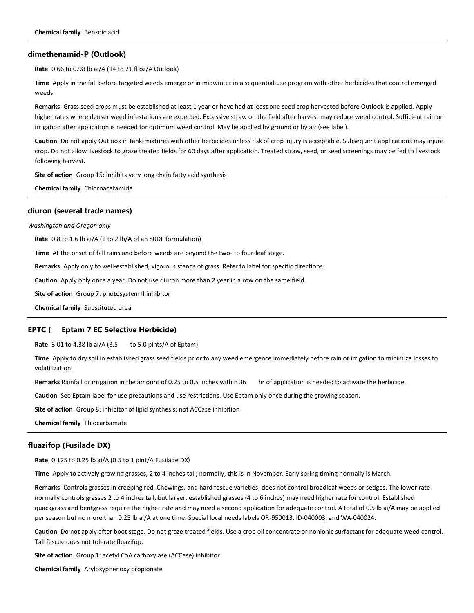#### **dimethenamid-P (Outlook)**

**Rate** 0.66 to 0.98 lb ai/A (14 to 21 fl oz/A Outlook)

**Time** Apply in the fall before targeted weeds emerge or in midwinter in a sequential-use program with other herbicides that control emerged weeds.

**Remarks** Grass seed crops must be established at least 1 year or have had at least one seed crop harvested before Outlook is applied. Apply higher rates where denser weed infestations are expected. Excessive straw on the field after harvest may reduce weed control. Sufficient rain or irrigation after application is needed for optimum weed control. May be applied by ground or by air (see label).

**Caution** Do not apply Outlook in tank-mixtures with other herbicides unless risk of crop injury is acceptable. Subsequent applications may injure crop. Do not allow livestock to graze treated fields for 60 days after application. Treated straw, seed, or seed screenings may be fed to livestock following harvest.

**Site of action** Group 15: inhibits very long chain fatty acid synthesis

**Chemical family** Chloroacetamide

#### **diuron (several trade names)**

*Washington and Oregon only*

**Rate** 0.8 to 1.6 lb ai/A (1 to 2 lb/A of an 80DF formulation)

**Time** At the onset of fall rains and before weeds are beyond the two- to four-leaf stage.

**Remarks** Apply only to well-established, vigorous stands of grass. Refer to label for specific directions.

**Caution** Apply only once a year. Do not use diuron more than 2 year in a row on the same field.

**Site of action** Group 7: photosystem II inhibitor

**Chemical family** Substituted urea

#### **EPTC ( Eptam 7 EC Selective Herbicide)**

**Rate** 3.01 to 4.38 lb ai/A (3.5 to 5.0 pints/A of Eptam)

**Time** Apply to dry soil in established grass seed fields prior to any weed emergence immediately before rain or irrigation to minimize losses to volatilization.

Remarks Rainfall or irrigation in the amount of 0.25 to 0.5 inches within 36 hr of application is needed to activate the herbicide.

**Caution** See Eptam label for use precautions and use restrictions. Use Eptam only once during the growing season.

**Site of action** Group 8: inhibitor of lipid synthesis; not ACCase inhibition

**Chemical family** Thiocarbamate

#### **fluazifop (Fusilade DX)**

**Rate** 0.125 to 0.25 lb ai/A (0.5 to 1 pint/A Fusilade DX)

**Time** Apply to actively growing grasses, 2 to 4 inches tall; normally, this is in November. Early spring timing normally is March.

**Remarks** Controls grasses in creeping red, Chewings, and hard fescue varieties; does not control broadleaf weeds or sedges. The lower rate normally controls grasses 2 to 4 inches tall, but larger, established grasses (4 to 6 inches) may need higher rate for control. Established quackgrass and bentgrass require the higher rate and may need a second application for adequate control. A total of 0.5 lb ai/A may be applied per season but no more than 0.25 lb ai/A at one time. Special local needs labels OR-950013, ID-040003, and WA-040024.

**Caution** Do not apply after boot stage. Do not graze treated fields. Use a crop oil concentrate or nonionic surfactant for adequate weed control. Tall fescue does not tolerate fluazifop.

**Site of action** Group 1: acetyl CoA carboxylase (ACCase) inhibitor

**Chemical family** Aryloxyphenoxy propionate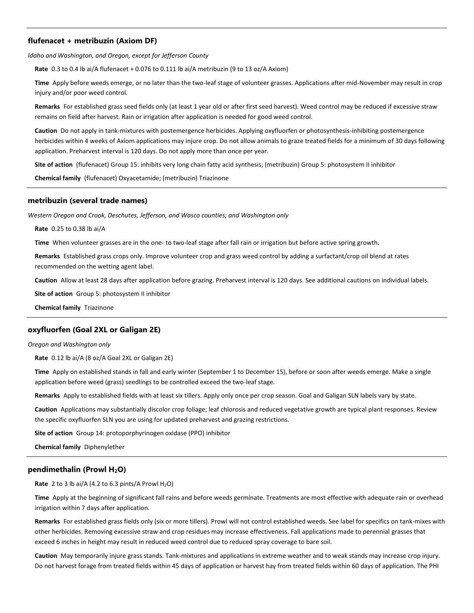## **flufenacet + metribuzin (Axiom DF)**

*Idaho and Washington, and Oregon, except for Jefferson County*

**Rate** 0.3 to 0.4 lb ai/A flufenacet + 0.076 to 0.111 lb ai/A metribuzin (9 to 13 oz/A Axiom)

**Time** Apply before weeds emerge, or no later than the two-leaf stage of volunteer grasses. Applications after mid-November may result in crop injury and/or poor weed control.

**Remarks** For established grass seed fields only (at least 1 year old or after first seed harvest). Weed control may be reduced if excessive straw remains on field after harvest. Rain or irrigation after application is needed for good weed control.

**Caution** Do not apply in tank-mixtures with postemergence herbicides. Applying oxyfluorfen or photosynthesis-inhibiting postemergence herbicides within 4 weeks of Axiom applications may injure crop. Do not allow animals to graze treated fields for a minimum of 30 days following application. Preharvest interval is 120 days. Do not apply more than once per year.

**Site of action** (flufenacet) Group 15: inhibits very long chain fatty acid synthesis; (metribuzin) Group 5: photosystem II inhibitor

**Chemical family** (flufenacet) Oxyacetamide; (metribuzin) Triazinone

## **metribuzin (several trade names)**

*Western Oregon and Crook, Deschutes, Jefferson, and Wasco counties; and Washington only*

**Rate** 0.25 to 0.38 lb ai/A

**Time** When volunteer grasses are in the one- to two-leaf stage after fall rain or irrigation but before active spring growth.

**Remarks** Established grass crops only. Improve volunteer crop and grass weed control by adding a surfactant/crop oil blend at rates recommended on the wetting agent label.

**Caution** Allow at least 28 days after application before grazing. Preharvest interval is 120 days. See additional cautions on individual labels.

**Site of action** Group 5: photosystem II inhibitor

**Chemical family** Triazinone

#### **oxyfluorfen (Goal 2XL or Galigan 2E)**

*Oregon and Washington only*

**Rate** 0.12 lb ai/A (8 oz/A Goal 2XL or Galigan 2E)

**Time** Apply on established stands in fall and early winter (September 1 to December 15), before or soon after weeds emerge. Make a single application before weed (grass) seedlings to be controlled exceed the two-leaf stage.

**Remarks** Apply to established fields with at least six tillers. Apply only once per crop season. Goal and Galigan SLN labels vary by state.

**Caution** Applications may substantially discolor crop foliage; leaf chlorosis and reduced vegetative growth are typical plant responses. Review the specific oxyfluorfen SLN you are using for updated preharvest and grazing restrictions.

**Site of action** Group 14: protoporphyrinogen oxidase (PPO) inhibitor

**Chemical family** Diphenylether

#### **pendimethalin (Prowl H2O)**

**Rate** 2 to 3 lb ai/A (4.2 to 6.3 pints/A Prowl  $H_2O$ )

**Time** Apply at the beginning of significant fall rains and before weeds germinate. Treatments are most effective with adequate rain or overhead irrigation within 7 days after application.

**Remarks** For established grass fields only (six or more tillers). Prowl will not control established weeds. See label for specifics on tank-mixes with other herbicides. Removing excessive straw and crop residues may increase effectiveness. Fall applications made to perennial grasses that exceed 6 inches in height may result in reduced weed control due to reduced spray coverage to bare soil.

**Caution** May temporarily injure grass stands. Tank-mixtures and applications in extreme weather and to weak stands may increase crop injury. Do not harvest forage from treated fields within 45 days of application or harvest hay from treated fields within 60 days of application. The PHI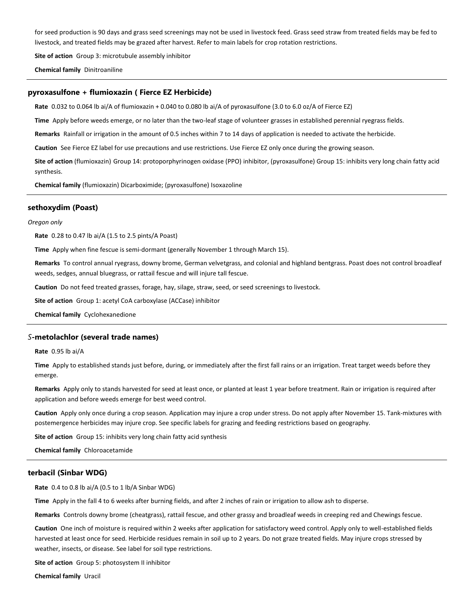for seed production is 90 days and grass seed screenings may not be used in livestock feed. Grass seed straw from treated fields may be fed to livestock, and treated fields may be grazed after harvest. Refer to main labels for crop rotation restrictions.

**Site of action** Group 3: microtubule assembly inhibitor

**Chemical family** Dinitroaniline

## **pyroxasulfone + flumioxazin ( Fierce EZ Herbicide)**

**Rate** 0.032 to 0.064 lb ai/A of flumioxazin + 0.040 to 0.080 lb ai/A of pyroxasulfone (3.0 to 6.0 oz/A of Fierce EZ)

**Time** Apply before weeds emerge, or no later than the two-leaf stage of volunteer grasses in established perennial ryegrass fields.

**Remarks** Rainfall or irrigation in the amount of 0.5 inches within 7 to 14 days of application is needed to activate the herbicide.

**Caution** See Fierce EZ label for use precautions and use restrictions. Use Fierce EZ only once during the growing season.

**Site of action** (flumioxazin) Group 14: protoporphyrinogen oxidase (PPO) inhibitor, (pyroxasulfone) Group 15: inhibits very long chain fatty acid synthesis.

**Chemical family** (flumioxazin) Dicarboximide; (pyroxasulfone) Isoxazoline

## **sethoxydim (Poast)**

#### *Oregon only*

**Rate** 0.28 to 0.47 lb ai/A (1.5 to 2.5 pints/A Poast)

**Time** Apply when fine fescue is semi-dormant (generally November 1 through March 15).

**Remarks** To control annual ryegrass, downy brome, German velvetgrass, and colonial and highland bentgrass. Poast does not control broadleaf weeds, sedges, annual bluegrass, or rattail fescue and will injure tall fescue.

**Caution** Do not feed treated grasses, forage, hay, silage, straw, seed, or seed screenings to livestock.

**Site of action** Group 1: acetyl CoA carboxylase (ACCase) inhibitor

**Chemical family** Cyclohexanedione

#### *S***-metolachlor (several trade names)**

#### **Rate** 0.95 lb ai/A

**Time** Apply to established stands just before, during, or immediately after the first fall rains or an irrigation. Treat target weeds before they emerge.

**Remarks** Apply only to stands harvested for seed at least once, or planted at least 1 year before treatment. Rain or irrigation is required after application and before weeds emerge for best weed control.

**Caution** Apply only once during a crop season. Application may injure a crop under stress. Do not apply after November 15. Tank-mixtures with postemergence herbicides may injure crop. See specific labels for grazing and feeding restrictions based on geography.

**Site of action** Group 15: inhibits very long chain fatty acid synthesis

**Chemical family** Chloroacetamide

#### **terbacil (Sinbar WDG)**

**Rate** 0.4 to 0.8 lb ai/A (0.5 to 1 lb/A Sinbar WDG)

**Time** Apply in the fall 4 to 6 weeks after burning fields, and after 2 inches of rain or irrigation to allow ash to disperse.

**Remarks** Controls downy brome (cheatgrass), rattail fescue, and other grassy and broadleaf weeds in creeping red and Chewings fescue.

**Caution** One inch of moisture is required within 2 weeks after application for satisfactory weed control. Apply only to well-established fields harvested at least once for seed. Herbicide residues remain in soil up to 2 years. Do not graze treated fields. May injure crops stressed by weather, insects, or disease. See label for soil type restrictions.

**Site of action** Group 5: photosystem II inhibitor

**Chemical family** Uracil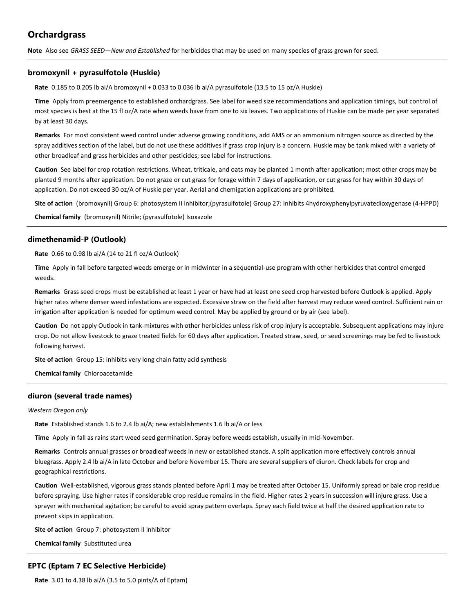# **Orchardgrass**

**Note** Also see *GRASS SEED—New and Established* for herbicides that may be used on many species of grass grown for seed.

## **bromoxynil + pyrasulfotole (Huskie)**

**Rate** 0.185 to 0.205 lb ai/A bromoxynil + 0.033 to 0.036 lb ai/A pyrasulfotole (13.5 to 15 oz/A Huskie)

**Time** Apply from preemergence to established orchardgrass. See label for weed size recommendations and application timings, but control of most species is best at the 15 fl oz/A rate when weeds have from one to six leaves. Two applications of Huskie can be made per year separated by at least 30 days.

**Remarks** For most consistent weed control under adverse growing conditions, add AMS or an ammonium nitrogen source as directed by the spray additives section of the label, but do not use these additives if grass crop injury is a concern. Huskie may be tank mixed with a variety of other broadleaf and grass herbicides and other pesticides; see label for instructions.

**Caution** See label for crop rotation restrictions. Wheat, triticale, and oats may be planted 1 month after application; most other crops may be planted 9 months after application. Do not graze or cut grass for forage within 7 days of application, or cut grass for hay within 30 days of application. Do not exceed 30 oz/A of Huskie per year. Aerial and chemigation applications are prohibited.

**Site of action** (bromoxynil) Group 6: photosystem II inhibitor;(pyrasulfotole) Group 27: inhibits 4hydroxyphenylpyruvatedioxygenase (4-HPPD)

**Chemical family** (bromoxynil) Nitrile; (pyrasulfotole) Isoxazole

## **dimethenamid-P (Outlook)**

**Rate** 0.66 to 0.98 lb ai/A (14 to 21 fl oz/A Outlook)

**Time** Apply in fall before targeted weeds emerge or in midwinter in a sequential-use program with other herbicides that control emerged weeds.

**Remarks** Grass seed crops must be established at least 1 year or have had at least one seed crop harvested before Outlook is applied. Apply higher rates where denser weed infestations are expected. Excessive straw on the field after harvest may reduce weed control. Sufficient rain or irrigation after application is needed for optimum weed control. May be applied by ground or by air (see label).

**Caution** Do not apply Outlook in tank-mixtures with other herbicides unless risk of crop injury is acceptable. Subsequent applications may injure crop. Do not allow livestock to graze treated fields for 60 days after application. Treated straw, seed, or seed screenings may be fed to livestock following harvest.

**Site of action** Group 15: inhibits very long chain fatty acid synthesis

**Chemical family** Chloroacetamide

## **diuron (several trade names)**

#### *Western Oregon only*

**Rate** Established stands 1.6 to 2.4 lb ai/A; new establishments 1.6 lb ai/A or less

**Time** Apply in fall as rains start weed seed germination. Spray before weeds establish, usually in mid-November.

**Remarks** Controls annual grasses or broadleaf weeds in new or established stands. A split application more effectively controls annual bluegrass. Apply 2.4 lb ai/A in late October and before November 15. There are several suppliers of diuron. Check labels for crop and geographical restrictions.

**Caution** Well-established, vigorous grass stands planted before April 1 may be treated after October 15. Uniformly spread or bale crop residue before spraying. Use higher rates if considerable crop residue remains in the field. Higher rates 2 years in succession will injure grass. Use a sprayer with mechanical agitation; be careful to avoid spray pattern overlaps. Spray each field twice at half the desired application rate to prevent skips in application.

**Site of action** Group 7: photosystem II inhibitor

**Chemical family** Substituted urea

## **EPTC (Eptam 7 EC Selective Herbicide)**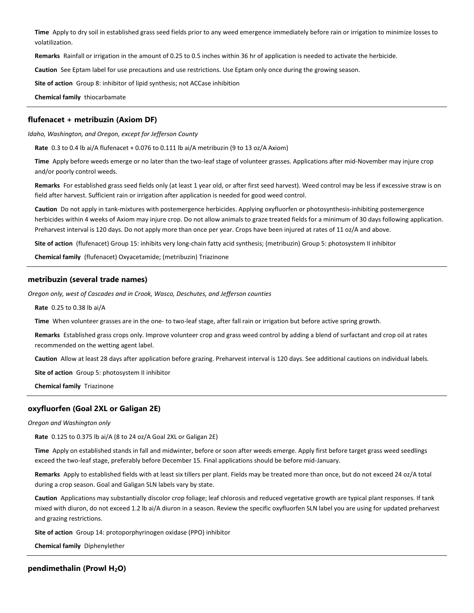**Time** Apply to dry soil in established grass seed fields prior to any weed emergence immediately before rain or irrigation to minimize losses to volatilization.

**Remarks** Rainfall or irrigation in the amount of 0.25 to 0.5 inches within 36 hr of application is needed to activate the herbicide.

**Caution** See Eptam label for use precautions and use restrictions. Use Eptam only once during the growing season.

**Site of action** Group 8: inhibitor of lipid synthesis; not ACCase inhibition

**Chemical family** thiocarbamate

## **flufenacet + metribuzin (Axiom DF)**

*Idaho, Washington, and Oregon, except for Jefferson County*

**Rate** 0.3 to 0.4 lb ai/A flufenacet + 0.076 to 0.111 lb ai/A metribuzin (9 to 13 oz/A Axiom)

**Time** Apply before weeds emerge or no later than the two-leaf stage of volunteer grasses. Applications after mid-November may injure crop and/or poorly control weeds.

**Remarks** For established grass seed fields only (at least 1 year old, or after first seed harvest). Weed control may be less if excessive straw is on field after harvest. Sufficient rain or irrigation after application is needed for good weed control.

**Caution** Do not apply in tank-mixtures with postemergence herbicides. Applying oxyfluorfen or photosynthesis-inhibiting postemergence herbicides within 4 weeks of Axiom may injure crop. Do not allow animals to graze treated fields for a minimum of 30 days following application. Preharvest interval is 120 days. Do not apply more than once per year. Crops have been injured at rates of 11 oz/A and above.

**Site of action** (flufenacet) Group 15: inhibits very long-chain fatty acid synthesis; (metribuzin) Group 5: photosystem II inhibitor

**Chemical family** (flufenacet) Oxyacetamide; (metribuzin) Triazinone

## **metribuzin (several trade names)**

*Oregon only, west of Cascades and in Crook, Wasco, Deschutes, and Jefferson counties*

**Rate** 0.25 to 0.38 lb ai/A

**Time** When volunteer grasses are in the one- to two-leaf stage, after fall rain or irrigation but before active spring growth.

**Remarks** Established grass crops only. Improve volunteer crop and grass weed control by adding a blend of surfactant and crop oil at rates recommended on the wetting agent label.

**Caution** Allow at least 28 days after application before grazing. Preharvest interval is 120 days. See additional cautions on individual labels.

**Site of action** Group 5: photosystem II inhibitor

**Chemical family** Triazinone

## **oxyfluorfen (Goal 2XL or Galigan 2E)**

#### *Oregon and Washington only*

**Rate** 0.125 to 0.375 lb ai/A (8 to 24 oz/A Goal 2XL or Galigan 2E)

**Time** Apply on established stands in fall and midwinter, before or soon after weeds emerge. Apply first before target grass weed seedlings exceed the two-leaf stage, preferably before December 15. Final applications should be before mid-January.

**Remarks** Apply to established fields with at least six tillers per plant. Fields may be treated more than once, but do not exceed 24 oz/A total during a crop season. Goal and Galigan SLN labels vary by state.

**Caution** Applications may substantially discolor crop foliage; leaf chlorosis and reduced vegetative growth are typical plant responses. If tank mixed with diuron, do not exceed 1.2 lb ai/A diuron in a season. Review the specific oxyfluorfen SLN label you are using for updated preharvest and grazing restrictions.

**Site of action** Group 14: protoporphyrinogen oxidase (PPO) inhibitor

**Chemical family** Diphenylether

**pendimethalin (Prowl H2O)**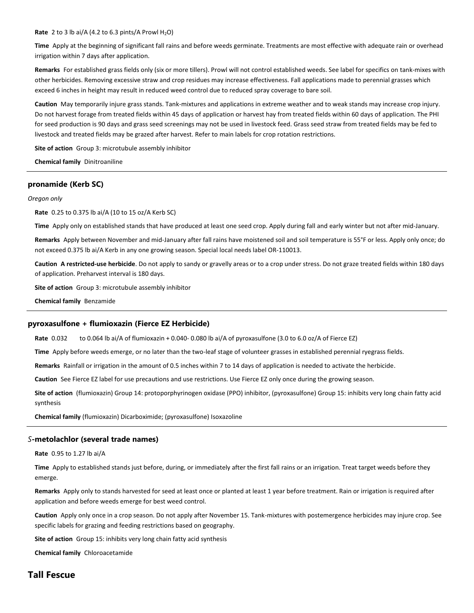#### **Rate** 2 to 3 lb ai/A (4.2 to 6.3 pints/A Prowl  $H_2O$ )

**Time** Apply at the beginning of significant fall rains and before weeds germinate. Treatments are most effective with adequate rain or overhead irrigation within 7 days after application.

**Remarks** For established grass fields only (six or more tillers). Prowl will not control established weeds. See label for specifics on tank-mixes with other herbicides. Removing excessive straw and crop residues may increase effectiveness. Fall applications made to perennial grasses which exceed 6 inches in height may result in reduced weed control due to reduced spray coverage to bare soil.

**Caution** May temporarily injure grass stands. Tank-mixtures and applications in extreme weather and to weak stands may increase crop injury. Do not harvest forage from treated fields within 45 days of application or harvest hay from treated fields within 60 days of application. The PHI for seed production is 90 days and grass seed screenings may not be used in livestock feed. Grass seed straw from treated fields may be fed to livestock and treated fields may be grazed after harvest. Refer to main labels for crop rotation restrictions.

**Site of action** Group 3: microtubule assembly inhibitor

**Chemical family** Dinitroaniline

## **pronamide (Kerb SC)**

#### *Oregon only*

**Rate** 0.25 to 0.375 lb ai/A (10 to 15 oz/A Kerb SC)

**Time** Apply only on established stands that have produced at least one seed crop. Apply during fall and early winter but not after mid-January.

**Remarks** Apply between November and mid-January after fall rains have moistened soil and soil temperature is 55°F or less. Apply only once; do not exceed 0.375 lb ai/A Kerb in any one growing season. Special local needs label OR-110013.

**Caution A restricted-use herbicide**. Do not apply to sandy or gravelly areas or to a crop under stress. Do not graze treated fields within 180 days of application. Preharvest interval is 180 days.

**Site of action** Group 3: microtubule assembly inhibitor

**Chemical family** Benzamide

#### **pyroxasulfone + flumioxazin (Fierce EZ Herbicide)**

**Rate** 0.032 to 0.064 lb ai/A of flumioxazin + 0.040- 0.080 lb ai/A of pyroxasulfone (3.0 to 6.0 oz/A of Fierce EZ)

**Time** Apply before weeds emerge, or no later than the two-leaf stage of volunteer grasses in established perennial ryegrass fields.

**Remarks** Rainfall or irrigation in the amount of 0.5 inches within 7 to 14 days of application is needed to activate the herbicide.

**Caution** See Fierce EZ label for use precautions and use restrictions. Use Fierce EZ only once during the growing season.

**Site of action** (flumioxazin) Group 14: protoporphyrinogen oxidase (PPO) inhibitor, (pyroxasulfone) Group 15: inhibits very long chain fatty acid synthesis

**Chemical family** (flumioxazin) Dicarboximide; (pyroxasulfone) Isoxazoline

#### *S***-metolachlor (several trade names)**

**Rate** 0.95 to 1.27 lb ai/A

**Time** Apply to established stands just before, during, or immediately after the first fall rains or an irrigation. Treat target weeds before they emerge.

**Remarks** Apply only to stands harvested for seed at least once or planted at least 1 year before treatment. Rain or irrigation is required after application and before weeds emerge for best weed control.

**Caution** Apply only once in a crop season. Do not apply after November 15. Tank-mixtures with postemergence herbicides may injure crop. See specific labels for grazing and feeding restrictions based on geography.

**Site of action** Group 15: inhibits very long chain fatty acid synthesis

**Chemical family** Chloroacetamide

# **Tall Fescue**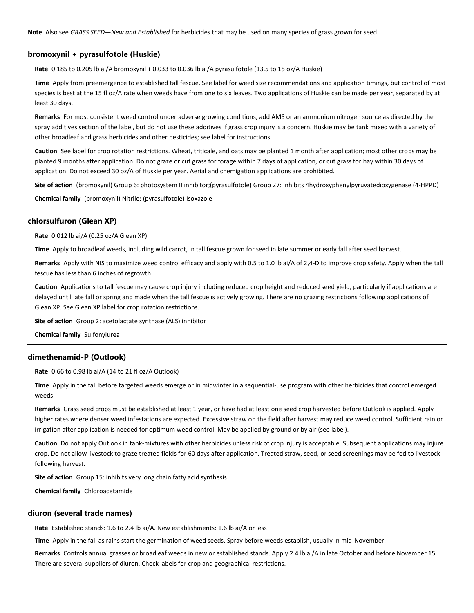#### **bromoxynil + pyrasulfotole (Huskie)**

**Rate** 0.185 to 0.205 lb ai/A bromoxynil + 0.033 to 0.036 lb ai/A pyrasulfotole (13.5 to 15 oz/A Huskie)

**Time** Apply from preemergence to established tall fescue. See label for weed size recommendations and application timings, but control of most species is best at the 15 fl oz/A rate when weeds have from one to six leaves. Two applications of Huskie can be made per year, separated by at least 30 days.

**Remarks** For most consistent weed control under adverse growing conditions, add AMS or an ammonium nitrogen source as directed by the spray additives section of the label, but do not use these additives if grass crop injury is a concern. Huskie may be tank mixed with a variety of other broadleaf and grass herbicides and other pesticides; see label for instructions.

**Caution** See label for crop rotation restrictions. Wheat, triticale, and oats may be planted 1 month after application; most other crops may be planted 9 months after application. Do not graze or cut grass for forage within 7 days of application, or cut grass for hay within 30 days of application. Do not exceed 30 oz/A of Huskie per year. Aerial and chemigation applications are prohibited.

**Site of action** (bromoxynil) Group 6: photosystem II inhibitor;(pyrasulfotole) Group 27: inhibits 4hydroxyphenylpyruvatedioxygenase (4-HPPD)

**Chemical family** (bromoxynil) Nitrile; (pyrasulfotole) Isoxazole

## **chlorsulfuron (Glean XP)**

**Rate** 0.012 lb ai/A (0.25 oz/A Glean XP)

**Time** Apply to broadleaf weeds, including wild carrot, in tall fescue grown for seed in late summer or early fall after seed harvest.

**Remarks** Apply with NIS to maximize weed control efficacy and apply with 0.5 to 1.0 lb ai/A of 2,4-D to improve crop safety. Apply when the tall fescue has less than 6 inches of regrowth.

**Caution** Applications to tall fescue may cause crop injury including reduced crop height and reduced seed yield, particularly if applications are delayed until late fall or spring and made when the tall fescue is actively growing. There are no grazing restrictions following applications of Glean XP. See Glean XP label for crop rotation restrictions.

**Site of action** Group 2: acetolactate synthase (ALS) inhibitor

**Chemical family** Sulfonylurea

#### **dimethenamid-P (Outlook)**

**Rate** 0.66 to 0.98 lb ai/A (14 to 21 fl oz/A Outlook)

**Time** Apply in the fall before targeted weeds emerge or in midwinter in a sequential-use program with other herbicides that control emerged weeds.

**Remarks** Grass seed crops must be established at least 1 year, or have had at least one seed crop harvested before Outlook is applied. Apply higher rates where denser weed infestations are expected. Excessive straw on the field after harvest may reduce weed control. Sufficient rain or irrigation after application is needed for optimum weed control. May be applied by ground or by air (see label).

**Caution** Do not apply Outlook in tank-mixtures with other herbicides unless risk of crop injury is acceptable. Subsequent applications may injure crop. Do not allow livestock to graze treated fields for 60 days after application. Treated straw, seed, or seed screenings may be fed to livestock following harvest.

**Site of action** Group 15: inhibits very long chain fatty acid synthesis

**Chemical family** Chloroacetamide

#### **diuron (several trade names)**

**Rate** Established stands: 1.6 to 2.4 lb ai/A. New establishments: 1.6 lb ai/A or less

**Time** Apply in the fall as rains start the germination of weed seeds. Spray before weeds establish, usually in mid-November.

**Remarks** Controls annual grasses or broadleaf weeds in new or established stands. Apply 2.4 lb ai/A in late October and before November 15. There are several suppliers of diuron. Check labels for crop and geographical restrictions.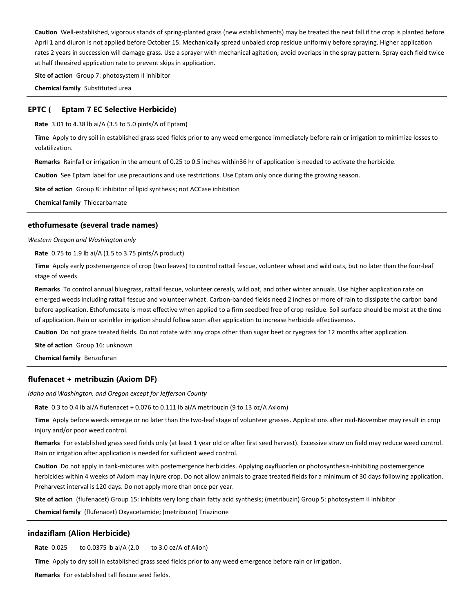**Caution** Well-established, vigorous stands of spring-planted grass (new establishments) may be treated the next fall if the crop is planted before April 1 and diuron is not applied before October 15. Mechanically spread unbaled crop residue uniformly before spraying. Higher application rates 2 years in succession will damage grass. Use a sprayer with mechanical agitation; avoid overlaps in the spray pattern. Spray each field twice at half theesired application rate to prevent skips in application.

**Site of action** Group 7: photosystem II inhibitor

**Chemical family** Substituted urea

#### **EPTC ( Eptam 7 EC Selective Herbicide)**

**Rate** 3.01 to 4.38 lb ai/A (3.5 to 5.0 pints/A of Eptam)

**Time** Apply to dry soil in established grass seed fields prior to any weed emergence immediately before rain or irrigation to minimize losses to volatilization.

**Remarks** Rainfall or irrigation in the amount of 0.25 to 0.5 inches within36 hr of application is needed to activate the herbicide.

**Caution** See Eptam label for use precautions and use restrictions. Use Eptam only once during the growing season.

**Site of action** Group 8: inhibitor of lipid synthesis; not ACCase inhibition

**Chemical family** Thiocarbamate

#### **ethofumesate (several trade names)**

*Western Oregon and Washington only*

**Rate** 0.75 to 1.9 lb ai/A (1.5 to 3.75 pints/A product)

**Time** Apply early postemergence of crop (two leaves) to control rattail fescue, volunteer wheat and wild oats, but no later than the four-leaf stage of weeds.

**Remarks** To control annual bluegrass, rattail fescue, volunteer cereals, wild oat, and other winter annuals. Use higher application rate on emerged weeds including rattail fescue and volunteer wheat. Carbon-banded fields need 2 inches or more of rain to dissipate the carbon band before application. Ethofumesate is most effective when applied to a firm seedbed free of crop residue. Soil surface should be moist at the time of application. Rain or sprinkler irrigation should follow soon after application to increase herbicide effectiveness.

**Caution** Do not graze treated fields. Do not rotate with any crops other than sugar beet or ryegrass for 12 months after application.

**Site of action** Group 16: unknown

**Chemical family** Benzofuran

## **flufenacet + metribuzin (Axiom DF)**

*Idaho and Washington, and Oregon except for Jefferson County*

**Rate** 0.3 to 0.4 lb ai/A flufenacet + 0.076 to 0.111 lb ai/A metribuzin (9 to 13 oz/A Axiom)

**Time** Apply before weeds emerge or no later than the two-leaf stage of volunteer grasses. Applications after mid-November may result in crop injury and/or poor weed control.

**Remarks** For established grass seed fields only (at least 1 year old or after first seed harvest). Excessive straw on field may reduce weed control. Rain or irrigation after application is needed for sufficient weed control.

**Caution** Do not apply in tank-mixtures with postemergence herbicides. Applying oxyfluorfen or photosynthesis-inhibiting postemergence herbicides within 4 weeks of Axiom may injure crop. Do not allow animals to graze treated fields for a minimum of 30 days following application. Preharvest interval is 120 days. Do not apply more than once per year.

**Site of action** (flufenacet) Group 15: inhibits very long chain fatty acid synthesis; (metribuzin) Group 5: photosystem II inhibitor

**Chemical family** (flufenacet) Oxyacetamide; (metribuzin) Triazinone

#### **indaziflam (Alion Herbicide)**

**Rate** 0.025 to 0.0375 lb ai/A (2.0 to 3.0 oz/A of Alion)

**Time** Apply to dry soil in established grass seed fields prior to any weed emergence before rain or irrigation.

**Remarks** For established tall fescue seed fields.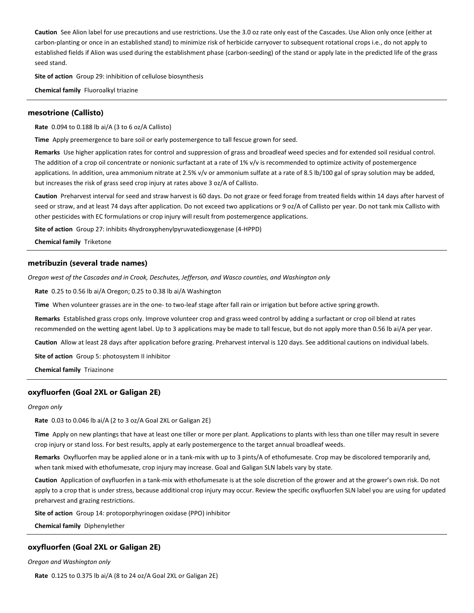**Caution** See Alion label for use precautions and use restrictions. Use the 3.0 oz rate only east of the Cascades. Use Alion only once (either at carbon-planting or once in an established stand) to minimize risk of herbicide carryover to subsequent rotational crops i.e., do not apply to established fields if Alion was used during the establishment phase (carbon-seeding) of the stand or apply late in the predicted life of the grass seed stand.

**Site of action** Group 29: inhibition of cellulose biosynthesis

**Chemical family** Fluoroalkyl triazine

## **mesotrione (Callisto)**

**Rate** 0.094 to 0.188 lb ai/A (3 to 6 oz/A Callisto)

**Time** Apply preemergence to bare soil or early postemergence to tall fescue grown for seed.

**Remarks** Use higher application rates for control and suppression of grass and broadleaf weed species and for extended soil residual control. The addition of a crop oil concentrate or nonionic surfactant at a rate of 1% v/v is recommended to optimize activity of postemergence applications. In addition, urea ammonium nitrate at 2.5% v/v or ammonium sulfate at a rate of 8.5 lb/100 gal of spray solution may be added, but increases the risk of grass seed crop injury at rates above 3 oz/A of Callisto.

**Caution** Preharvest interval for seed and straw harvest is 60 days. Do not graze or feed forage from treated fields within 14 days after harvest of seed or straw, and at least 74 days after application. Do not exceed two applications or 9 oz/A of Callisto per year. Do not tank mix Callisto with other pesticides with EC formulations or crop injury will result from postemergence applications.

**Site of action** Group 27: inhibits 4hydroxyphenylpyruvatedioxygenase (4-HPPD)

**Chemical family** Triketone

## **metribuzin (several trade names)**

*Oregon west of the Cascades and in Crook, Deschutes, Jefferson, and Wasco counties, and Washington only*

**Rate** 0.25 to 0.56 lb ai/A Oregon; 0.25 to 0.38 lb ai/A Washington

**Time** When volunteer grasses are in the one- to two-leaf stage after fall rain or irrigation but before active spring growth.

**Remarks** Established grass crops only. Improve volunteer crop and grass weed control by adding a surfactant or crop oil blend at rates recommended on the wetting agent label. Up to 3 applications may be made to tall fescue, but do not apply more than 0.56 lb ai/A per year.

**Caution** Allow at least 28 days after application before grazing. Preharvest interval is 120 days. See additional cautions on individual labels.

**Site of action** Group 5: photosystem II inhibitor

**Chemical family** Triazinone

## **oxyfluorfen (Goal 2XL or Galigan 2E)**

#### *Oregon only*

**Rate** 0.03 to 0.046 lb ai/A (2 to 3 oz/A Goal 2XL or Galigan 2E)

**Time** Apply on new plantings that have at least one tiller or more per plant. Applications to plants with less than one tiller may result in severe crop injury or stand loss. For best results, apply at early postemergence to the target annual broadleaf weeds.

**Remarks** Oxyfluorfen may be applied alone or in a tank-mix with up to 3 pints/A of ethofumesate. Crop may be discolored temporarily and, when tank mixed with ethofumesate, crop injury may increase. Goal and Galigan SLN labels vary by state.

**Caution** Application of oxyfluorfen in a tank-mix with ethofumesate is at the sole discretion of the grower and at the grower's own risk. Do not apply to a crop that is under stress, because additional crop injury may occur. Review the specific oxyfluorfen SLN label you are using for updated preharvest and grazing restrictions.

**Site of action** Group 14: protoporphyrinogen oxidase (PPO) inhibitor

**Chemical family** Diphenylether

## **oxyfluorfen (Goal 2XL or Galigan 2E)**

*Oregon and Washington only*

**Rate** 0.125 to 0.375 lb ai/A (8 to 24 oz/A Goal 2XL or Galigan 2E)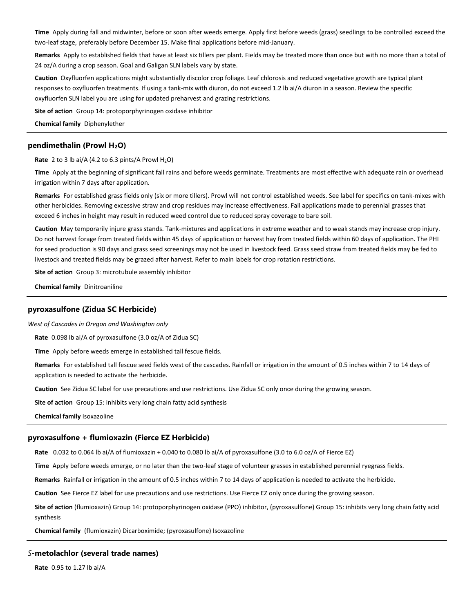**Time** Apply during fall and midwinter, before or soon after weeds emerge. Apply first before weeds (grass) seedlings to be controlled exceed the two-leaf stage, preferably before December 15. Make final applications before mid-January.

**Remarks** Apply to established fields that have at least six tillers per plant. Fields may be treated more than once but with no more than a total of 24 oz/A during a crop season. Goal and Galigan SLN labels vary by state.

**Caution** Oxyfluorfen applications might substantially discolor crop foliage. Leaf chlorosis and reduced vegetative growth are typical plant responses to oxyfluorfen treatments. If using a tank-mix with diuron, do not exceed 1.2 lb ai/A diuron in a season. Review the specific oxyfluorfen SLN label you are using for updated preharvest and grazing restrictions.

**Site of action** Group 14: protoporphyrinogen oxidase inhibitor

**Chemical family** Diphenylether

## **pendimethalin (Prowl H2O)**

#### **Rate** 2 to 3 lb ai/A (4.2 to 6.3 pints/A Prowl  $H_2O$ )

**Time** Apply at the beginning of significant fall rains and before weeds germinate. Treatments are most effective with adequate rain or overhead irrigation within 7 days after application.

**Remarks** For established grass fields only (six or more tillers). Prowl will not control established weeds. See label for specifics on tank-mixes with other herbicides. Removing excessive straw and crop residues may increase effectiveness. Fall applications made to perennial grasses that exceed 6 inches in height may result in reduced weed control due to reduced spray coverage to bare soil.

**Caution** May temporarily injure grass stands. Tank-mixtures and applications in extreme weather and to weak stands may increase crop injury. Do not harvest forage from treated fields within 45 days of application or harvest hay from treated fields within 60 days of application. The PHI for seed production is 90 days and grass seed screenings may not be used in livestock feed. Grass seed straw from treated fields may be fed to livestock and treated fields may be grazed after harvest. Refer to main labels for crop rotation restrictions.

**Site of action** Group 3: microtubule assembly inhibitor

**Chemical family** Dinitroaniline

## **pyroxasulfone (Zidua SC Herbicide)**

*West of Cascades in Oregon and Washington only*

**Rate** 0.098 lb ai/A of pyroxasulfone (3.0 oz/A of Zidua SC)

**Time** Apply before weeds emerge in established tall fescue fields.

**Remarks** For established tall fescue seed fields west of the cascades. Rainfall or irrigation in the amount of 0.5 inches within 7 to 14 days of application is needed to activate the herbicide.

**Caution** See Zidua SC label for use precautions and use restrictions. Use Zidua SC only once during the growing season.

**Site of action** Group 15: inhibits very long chain fatty acid synthesis

**Chemical family** Isoxazoline

#### **pyroxasulfone + flumioxazin (Fierce EZ Herbicide)**

**Rate** 0.032 to 0.064 lb ai/A of flumioxazin + 0.040 to 0.080 lb ai/A of pyroxasulfone (3.0 to 6.0 oz/A of Fierce EZ)

**Time** Apply before weeds emerge, or no later than the two-leaf stage of volunteer grasses in established perennial ryegrass fields.

**Remarks** Rainfall or irrigation in the amount of 0.5 inches within 7 to 14 days of application is needed to activate the herbicide.

**Caution** See Fierce EZ label for use precautions and use restrictions. Use Fierce EZ only once during the growing season.

**Site of action** (flumioxazin) Group 14: protoporphyrinogen oxidase (PPO) inhibitor, (pyroxasulfone) Group 15: inhibits very long chain fatty acid synthesis

**Chemical family** (flumioxazin) Dicarboximide; (pyroxasulfone) Isoxazoline

## *S***-metolachlor (several trade names)**

**Rate** 0.95 to 1.27 lb ai/A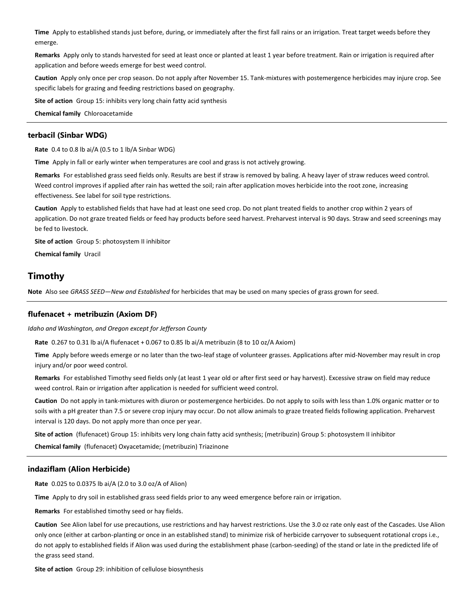**Time** Apply to established stands just before, during, or immediately after the first fall rains or an irrigation. Treat target weeds before they emerge.

**Remarks** Apply only to stands harvested for seed at least once or planted at least 1 year before treatment. Rain or irrigation is required after application and before weeds emerge for best weed control.

**Caution** Apply only once per crop season. Do not apply after November 15. Tank-mixtures with postemergence herbicides may injure crop. See specific labels for grazing and feeding restrictions based on geography.

**Site of action** Group 15: inhibits very long chain fatty acid synthesis

**Chemical family** Chloroacetamide

## **terbacil (Sinbar WDG)**

**Rate** 0.4 to 0.8 lb ai/A (0.5 to 1 lb/A Sinbar WDG)

**Time** Apply in fall or early winter when temperatures are cool and grass is not actively growing.

**Remarks** For established grass seed fields only. Results are best if straw is removed by baling. A heavy layer of straw reduces weed control. Weed control improves if applied after rain has wetted the soil; rain after application moves herbicide into the root zone, increasing effectiveness. See label for soil type restrictions.

**Caution** Apply to established fields that have had at least one seed crop. Do not plant treated fields to another crop within 2 years of application. Do not graze treated fields or feed hay products before seed harvest. Preharvest interval is 90 days. Straw and seed screenings may be fed to livestock.

**Site of action** Group 5: photosystem II inhibitor

**Chemical family** Uracil

# **Timothy**

**Note** Also see *GRASS SEED—New and Established* for herbicides that may be used on many species of grass grown for seed.

## **flufenacet + metribuzin (Axiom DF)**

*Idaho and Washington, and Oregon except for Jefferson County*

**Rate** 0.267 to 0.31 lb ai/A flufenacet + 0.067 to 0.85 lb ai/A metribuzin (8 to 10 oz/A Axiom)

**Time** Apply before weeds emerge or no later than the two-leaf stage of volunteer grasses. Applications after mid-November may result in crop injury and/or poor weed control.

**Remarks** For established Timothy seed fields only (at least 1 year old or after first seed or hay harvest). Excessive straw on field may reduce weed control. Rain or irrigation after application is needed for sufficient weed control.

**Caution** Do not apply in tank-mixtures with diuron or postemergence herbicides. Do not apply to soils with less than 1.0% organic matter or to soils with a pH greater than 7.5 or severe crop injury may occur. Do not allow animals to graze treated fields following application. Preharvest interval is 120 days. Do not apply more than once per year.

**Site of action** (flufenacet) Group 15: inhibits very long chain fatty acid synthesis; (metribuzin) Group 5: photosystem II inhibitor

**Chemical family** (flufenacet) Oxyacetamide; (metribuzin) Triazinone

## **indaziflam (Alion Herbicide)**

**Rate** 0.025 to 0.0375 lb ai/A (2.0 to 3.0 oz/A of Alion)

**Time** Apply to dry soil in established grass seed fields prior to any weed emergence before rain or irrigation.

**Remarks** For established timothy seed or hay fields.

**Caution** See Alion label for use precautions, use restrictions and hay harvest restrictions. Use the 3.0 oz rate only east of the Cascades. Use Alion only once (either at carbon-planting or once in an established stand) to minimize risk of herbicide carryover to subsequent rotational crops i.e., do not apply to established fields if Alion was used during the establishment phase (carbon-seeding) of the stand or late in the predicted life of the grass seed stand.

**Site of action** Group 29: inhibition of cellulose biosynthesis